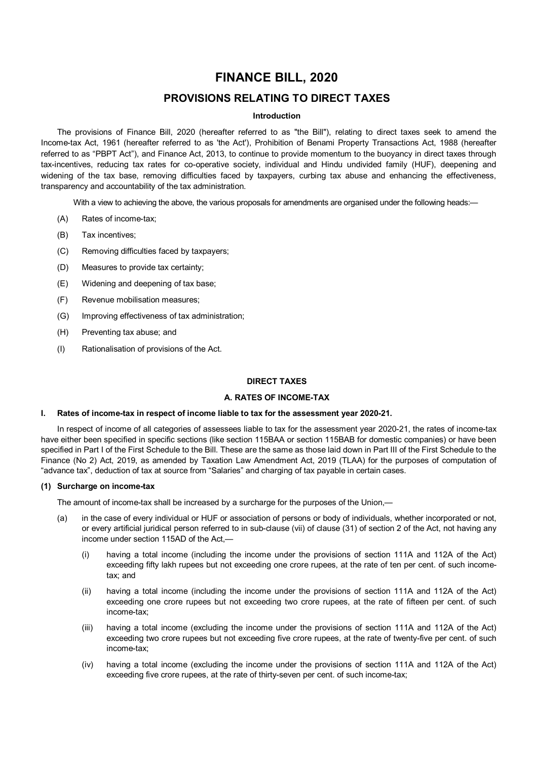# **FINANCE BILL, 2020**

# **PROVISIONS RELATING TO DIRECT TAXES**

# **Introduction**

The provisions of Finance Bill, 2020 (hereafter referred to as "the Bill"), relating to direct taxes seek to amend the Income-tax Act, 1961 (hereafter referred to as 'the Act'), Prohibition of Benami Property Transactions Act, 1988 (hereafter referred to as "PBPT Act"), and Finance Act, 2013, to continue to provide momentum to the buoyancy in direct taxes through tax-incentives, reducing tax rates for co-operative society, individual and Hindu undivided family (HUF), deepening and widening of the tax base, removing difficulties faced by taxpayers, curbing tax abuse and enhancing the effectiveness, transparency and accountability of the tax administration.

With a view to achieving the above, the various proposals for amendments are organised under the following heads:

- (A) Rates of income-tax;
- (B) Tax incentives;
- (C) Removing difficulties faced by taxpayers;
- (D) Measures to provide tax certainty;
- (E) Widening and deepening of tax base;
- (F) Revenue mobilisation measures;
- (G) Improving effectiveness of tax administration;
- (H) Preventing tax abuse; and
- (I) Rationalisation of provisions of the Act.

# **DIRECT TAXES**

# **A. RATES OF INCOME-TAX**

# **I. Rates of income-tax in respect of income liable to tax for the assessment year 2020-21.**

In respect of income of all categories of assessees liable to tax for the assessment year 2020-21, the rates of income-tax have either been specified in specific sections (like section 115BAA or section 115BAB for domestic companies) or have been specified in Part I of the First Schedule to the Bill. These are the same as those laid down in Part III of the First Schedule to the Finance (No 2) Act, 2019, as amended by Taxation Law Amendment Act, 2019 (TLAA) for the purposes of computation of "advance tax", deduction of tax at source from "Salaries" and charging of tax payable in certain cases.

# **(1) Surcharge on income-tax**

The amount of income-tax shall be increased by a surcharge for the purposes of the Union,—

- (a) in the case of every individual or HUF or association of persons or body of individuals, whether incorporated or not, or every artificial juridical person referred to in sub-clause (vii) of clause (31) of section 2 of the Act, not having any income under section 115AD of the Act,—
	- (i) having a total income (including the income under the provisions of section 111A and 112A of the Act) exceeding fifty lakh rupees but not exceeding one crore rupees, at the rate of ten per cent. of such incometax; and
	- (ii) having a total income (including the income under the provisions of section 111A and 112A of the Act) exceeding one crore rupees but not exceeding two crore rupees, at the rate of fifteen per cent. of such income-tax;
	- (iii) having a total income (excluding the income under the provisions of section 111A and 112A of the Act) exceeding two crore rupees but not exceeding five crore rupees, at the rate of twenty-five per cent. of such income-tax;
	- (iv) having a total income (excluding the income under the provisions of section 111A and 112A of the Act) exceeding five crore rupees, at the rate of thirty-seven per cent. of such income-tax;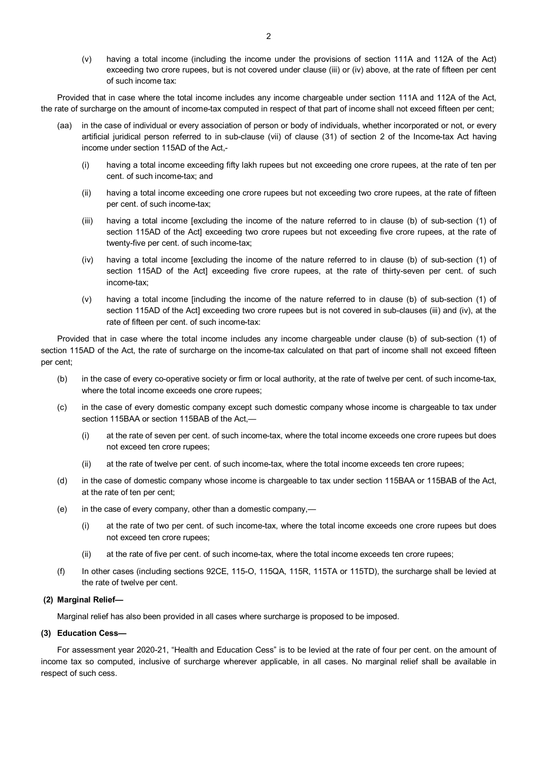(v) having a total income (including the income under the provisions of section 111A and 112A of the Act) exceeding two crore rupees, but is not covered under clause (iii) or (iv) above, at the rate of fifteen per cent of such income tax:

Provided that in case where the total income includes any income chargeable under section 111A and 112A of the Act, the rate of surcharge on the amount of income-tax computed in respect of that part of income shall not exceed fifteen per cent;

- (aa) in the case of individual or every association of person or body of individuals, whether incorporated or not, or every artificial juridical person referred to in sub-clause (vii) of clause (31) of section 2 of the Income-tax Act having income under section 115AD of the Act,-
	- (i) having a total income exceeding fifty lakh rupees but not exceeding one crore rupees, at the rate of ten per cent. of such income-tax; and
	- (ii) having a total income exceeding one crore rupees but not exceeding two crore rupees, at the rate of fifteen per cent. of such income-tax;
	- (iii) having a total income [excluding the income of the nature referred to in clause (b) of sub-section (1) of section 115AD of the Act] exceeding two crore rupees but not exceeding five crore rupees, at the rate of twenty-five per cent. of such income-tax;
	- (iv) having a total income [excluding the income of the nature referred to in clause (b) of sub-section (1) of section 115AD of the Act] exceeding five crore rupees, at the rate of thirty-seven per cent. of such income-tax;
	- (v) having a total income [including the income of the nature referred to in clause (b) of sub-section (1) of section 115AD of the Act] exceeding two crore rupees but is not covered in sub-clauses (iii) and (iv), at the rate of fifteen per cent. of such income-tax:

Provided that in case where the total income includes any income chargeable under clause (b) of sub-section (1) of section 115AD of the Act, the rate of surcharge on the income-tax calculated on that part of income shall not exceed fifteen per cent;

- (b) in the case of every co-operative society or firm or local authority, at the rate of twelve per cent. of such income-tax, where the total income exceeds one crore rupees;
- (c) in the case of every domestic company except such domestic company whose income is chargeable to tax under section 115BAA or section 115BAB of the Act,—
	- (i) at the rate of seven per cent. of such income-tax, where the total income exceeds one crore rupees but does not exceed ten crore rupees;
	- (ii) at the rate of twelve per cent. of such income-tax, where the total income exceeds ten crore rupees;
- (d) in the case of domestic company whose income is chargeable to tax under section 115BAA or 115BAB of the Act, at the rate of ten per cent;
- (e) in the case of every company, other than a domestic company,—
	- (i) at the rate of two per cent. of such income-tax, where the total income exceeds one crore rupees but does not exceed ten crore rupees;
	- (ii) at the rate of five per cent. of such income-tax, where the total income exceeds ten crore rupees;
- (f) In other cases (including sections 92CE, 115-O, 115QA, 115R, 115TA or 115TD), the surcharge shall be levied at the rate of twelve per cent.

# **(2) Marginal Relief—**

Marginal relief has also been provided in all cases where surcharge is proposed to be imposed.

# **(3) Education Cess—**

For assessment year 2020-21, "Health and Education Cess" is to be levied at the rate of four per cent. on the amount of income tax so computed, inclusive of surcharge wherever applicable, in all cases. No marginal relief shall be available in respect of such cess.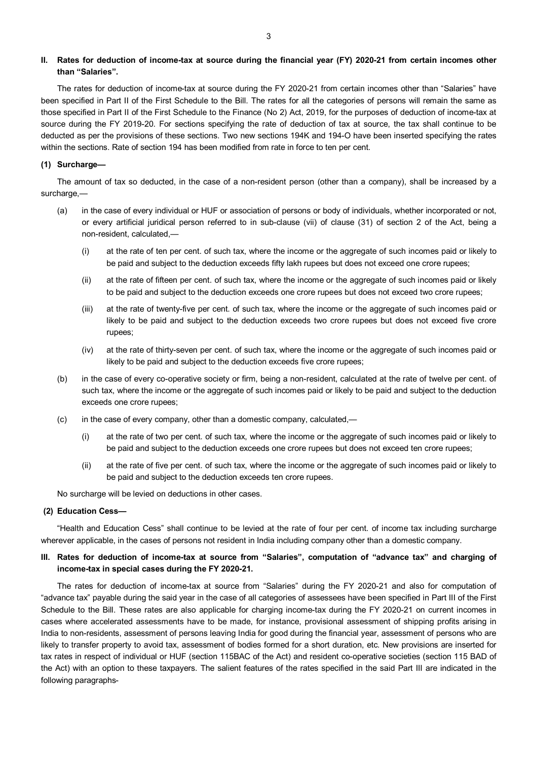# **II. Rates for deduction of income-tax at source during the financial year (FY) 2020-21 from certain incomes other than "Salaries".**

The rates for deduction of income-tax at source during the FY 2020-21 from certain incomes other than "Salaries" have been specified in Part II of the First Schedule to the Bill. The rates for all the categories of persons will remain the same as those specified in Part II of the First Schedule to the Finance (No 2) Act, 2019, for the purposes of deduction of income-tax at source during the FY 2019-20. For sections specifying the rate of deduction of tax at source, the tax shall continue to be deducted as per the provisions of these sections. Two new sections 194K and 194-O have been inserted specifying the rates within the sections. Rate of section 194 has been modified from rate in force to ten per cent.

## **(1) Surcharge—**

The amount of tax so deducted, in the case of a non-resident person (other than a company), shall be increased by a surcharge.—

- (a) in the case of every individual or HUF or association of persons or body of individuals, whether incorporated or not, or every artificial juridical person referred to in sub-clause (vii) of clause (31) of section 2 of the Act, being a non-resident, calculated,—
	- (i) at the rate of ten per cent. of such tax, where the income or the aggregate of such incomes paid or likely to be paid and subject to the deduction exceeds fifty lakh rupees but does not exceed one crore rupees;
	- (ii) at the rate of fifteen per cent. of such tax, where the income or the aggregate of such incomes paid or likely to be paid and subject to the deduction exceeds one crore rupees but does not exceed two crore rupees;
	- (iii) at the rate of twenty-five per cent. of such tax, where the income or the aggregate of such incomes paid or likely to be paid and subject to the deduction exceeds two crore rupees but does not exceed five crore rupees;
	- (iv) at the rate of thirty-seven per cent. of such tax, where the income or the aggregate of such incomes paid or likely to be paid and subject to the deduction exceeds five crore rupees;
- (b) in the case of every co-operative society or firm, being a non-resident, calculated at the rate of twelve per cent. of such tax, where the income or the aggregate of such incomes paid or likely to be paid and subject to the deduction exceeds one crore rupees;
- (c) in the case of every company, other than a domestic company, calculated,—
	- (i) at the rate of two per cent. of such tax, where the income or the aggregate of such incomes paid or likely to be paid and subject to the deduction exceeds one crore rupees but does not exceed ten crore rupees;
	- (ii) at the rate of five per cent. of such tax, where the income or the aggregate of such incomes paid or likely to be paid and subject to the deduction exceeds ten crore rupees.

No surcharge will be levied on deductions in other cases.

# **(2) Education Cess—**

"Health and Education Cess" shall continue to be levied at the rate of four per cent. of income tax including surcharge wherever applicable, in the cases of persons not resident in India including company other than a domestic company.

# III. Rates for deduction of income-tax at source from "Salaries", computation of "advance tax" and charging of **income-tax in special cases during the FY 2020-21.**

The rates for deduction of income-tax at source from "Salaries" during the FY 2020-21 and also for computation of "advance tax" payable during the said year in the case of all categories of assessees have been specified in Part III of the First Schedule to the Bill. These rates are also applicable for charging income-tax during the FY 2020-21 on current incomes in cases where accelerated assessments have to be made, for instance, provisional assessment of shipping profits arising in India to non-residents, assessment of persons leaving India for good during the financial year, assessment of persons who are likely to transfer property to avoid tax, assessment of bodies formed for a short duration, etc. New provisions are inserted for tax rates in respect of individual or HUF (section 115BAC of the Act) and resident co-operative societies (section 115 BAD of the Act) with an option to these taxpayers. The salient features of the rates specified in the said Part III are indicated in the following paragraphs-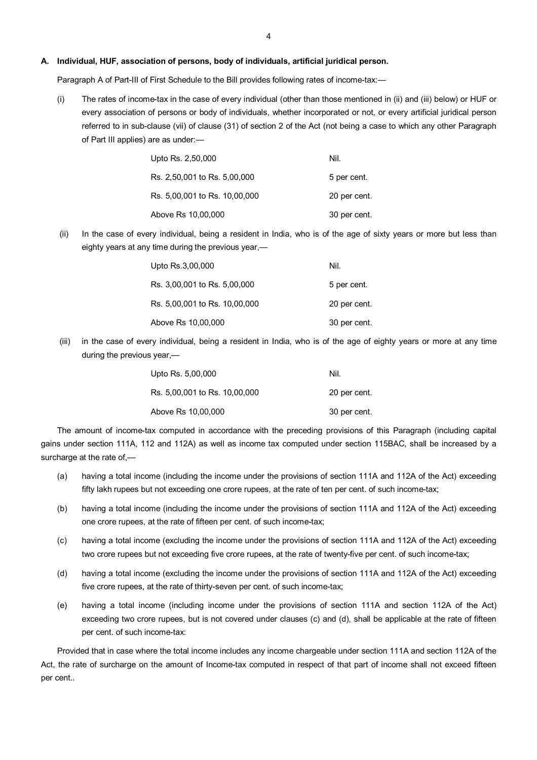#### **A. Individual, HUF, association of persons, body of individuals, artificial juridical person.**

Paragraph A of Part-III of First Schedule to the Bill provides following rates of income-tax:-

(i) The rates of income-tax in the case of every individual (other than those mentioned in (ii) and (iii) below) or HUF or every association of persons or body of individuals, whether incorporated or not, or every artificial juridical person referred to in sub-clause (vii) of clause (31) of section 2 of the Act (not being a case to which any other Paragraph of Part III applies) are as under:—

| Upto Rs. 2,50,000             | Nil.         |
|-------------------------------|--------------|
| Rs. 2,50,001 to Rs. 5,00,000  | 5 per cent.  |
| Rs. 5,00,001 to Rs. 10,00,000 | 20 per cent. |
| Above Rs 10,00,000            | 30 per cent. |

(ii) In the case of every individual, being a resident in India, who is of the age of sixty years or more but less than eighty years at any time during the previous year,—

| Upto Rs.3,00,000              | Nil.         |
|-------------------------------|--------------|
| Rs. 3,00,001 to Rs. 5,00,000  | 5 per cent.  |
| Rs. 5,00,001 to Rs. 10,00,000 | 20 per cent. |
| Above Rs 10,00,000            | 30 per cent. |

(iii) in the case of every individual, being a resident in India, who is of the age of eighty years or more at any time during the previous year,—

| Upto Rs. 5,00,000             | Nil.         |
|-------------------------------|--------------|
| Rs. 5,00,001 to Rs. 10,00,000 | 20 per cent. |
| Above Rs 10,00,000            | 30 per cent. |

The amount of income-tax computed in accordance with the preceding provisions of this Paragraph (including capital gains under section 111A, 112 and 112A) as well as income tax computed under section 115BAC, shall be increased by a surcharge at the rate of,—

- (a) having a total income (including the income under the provisions of section 111A and 112A of the Act) exceeding fifty lakh rupees but not exceeding one crore rupees, at the rate of ten per cent. of such income-tax;
- (b) having a total income (including the income under the provisions of section 111A and 112A of the Act) exceeding one crore rupees, at the rate of fifteen per cent. of such income-tax;
- (c) having a total income (excluding the income under the provisions of section 111A and 112A of the Act) exceeding two crore rupees but not exceeding five crore rupees, at the rate of twenty-five per cent. of such income-tax;
- (d) having a total income (excluding the income under the provisions of section 111A and 112A of the Act) exceeding five crore rupees, at the rate of thirty-seven per cent. of such income-tax;
- (e) having a total income (including income under the provisions of section 111A and section 112A of the Act) exceeding two crore rupees, but is not covered under clauses (c) and (d), shall be applicable at the rate of fifteen per cent. of such income-tax:

Provided that in case where the total income includes any income chargeable under section 111A and section 112A of the Act, the rate of surcharge on the amount of Income-tax computed in respect of that part of income shall not exceed fifteen per cent..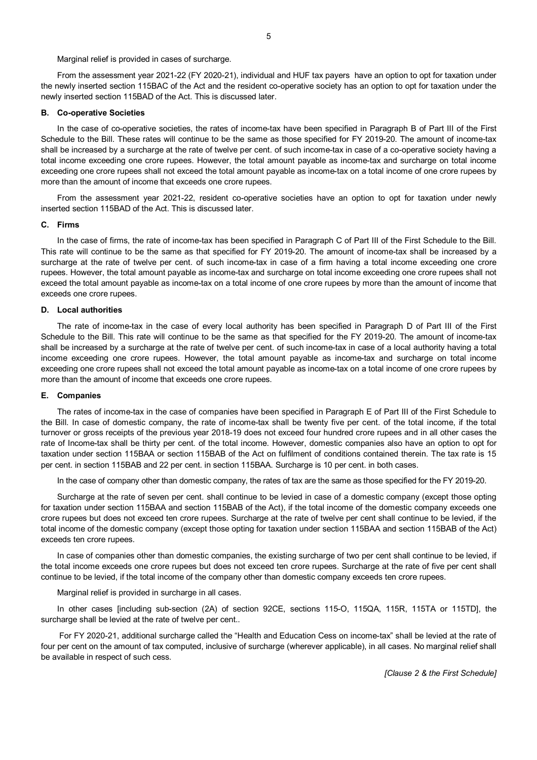Marginal relief is provided in cases of surcharge.

From the assessment year 2021-22 (FY 2020-21), individual and HUF tax payers have an option to opt for taxation under the newly inserted section 115BAC of the Act and the resident co-operative society has an option to opt for taxation under the newly inserted section 115BAD of the Act. This is discussed later.

# **B. Co-operative Societies**

In the case of co-operative societies, the rates of income-tax have been specified in Paragraph B of Part III of the First Schedule to the Bill. These rates will continue to be the same as those specified for FY 2019-20. The amount of income-tax shall be increased by a surcharge at the rate of twelve per cent. of such income-tax in case of a co-operative society having a total income exceeding one crore rupees. However, the total amount payable as income-tax and surcharge on total income exceeding one crore rupees shall not exceed the total amount payable as income-tax on a total income of one crore rupees by more than the amount of income that exceeds one crore rupees.

From the assessment year 2021-22, resident co-operative societies have an option to opt for taxation under newly inserted section 115BAD of the Act. This is discussed later.

#### **C. Firms**

In the case of firms, the rate of income-tax has been specified in Paragraph C of Part III of the First Schedule to the Bill. This rate will continue to be the same as that specified for FY 2019-20. The amount of income-tax shall be increased by a surcharge at the rate of twelve per cent. of such income-tax in case of a firm having a total income exceeding one crore rupees. However, the total amount payable as income-tax and surcharge on total income exceeding one crore rupees shall not exceed the total amount payable as income-tax on a total income of one crore rupees by more than the amount of income that exceeds one crore rupees.

## **D. Local authorities**

The rate of income-tax in the case of every local authority has been specified in Paragraph D of Part III of the First Schedule to the Bill. This rate will continue to be the same as that specified for the FY 2019-20. The amount of income-tax shall be increased by a surcharge at the rate of twelve per cent. of such income-tax in case of a local authority having a total income exceeding one crore rupees. However, the total amount payable as income-tax and surcharge on total income exceeding one crore rupees shall not exceed the total amount payable as income-tax on a total income of one crore rupees by more than the amount of income that exceeds one crore rupees.

# **E. Companies**

The rates of income-tax in the case of companies have been specified in Paragraph E of Part III of the First Schedule to the Bill. In case of domestic company, the rate of income-tax shall be twenty five per cent. of the total income, if the total turnover or gross receipts of the previous year 2018-19 does not exceed four hundred crore rupees and in all other cases the rate of Income-tax shall be thirty per cent. of the total income. However, domestic companies also have an option to opt for taxation under section 115BAA or section 115BAB of the Act on fulfilment of conditions contained therein. The tax rate is 15 per cent. in section 115BAB and 22 per cent. in section 115BAA. Surcharge is 10 per cent. in both cases.

In the case of company other than domestic company, the rates of tax are the same as those specified for the FY 2019-20.

Surcharge at the rate of seven per cent. shall continue to be levied in case of a domestic company (except those opting for taxation under section 115BAA and section 115BAB of the Act), if the total income of the domestic company exceeds one crore rupees but does not exceed ten crore rupees. Surcharge at the rate of twelve per cent shall continue to be levied, if the total income of the domestic company (except those opting for taxation under section 115BAA and section 115BAB of the Act) exceeds ten crore rupees.

In case of companies other than domestic companies, the existing surcharge of two per cent shall continue to be levied, if the total income exceeds one crore rupees but does not exceed ten crore rupees. Surcharge at the rate of five per cent shall continue to be levied, if the total income of the company other than domestic company exceeds ten crore rupees.

Marginal relief is provided in surcharge in all cases.

In other cases [including sub-section (2A) of section 92CE, sections 115-O, 115QA, 115R, 115TA or 115TD], the surcharge shall be levied at the rate of twelve per cent..

For FY 2020-21, additional surcharge called the "Health and Education Cess on income-tax" shall be levied at the rate of four per cent on the amount of tax computed, inclusive of surcharge (wherever applicable), in all cases. No marginal relief shall be available in respect of such cess.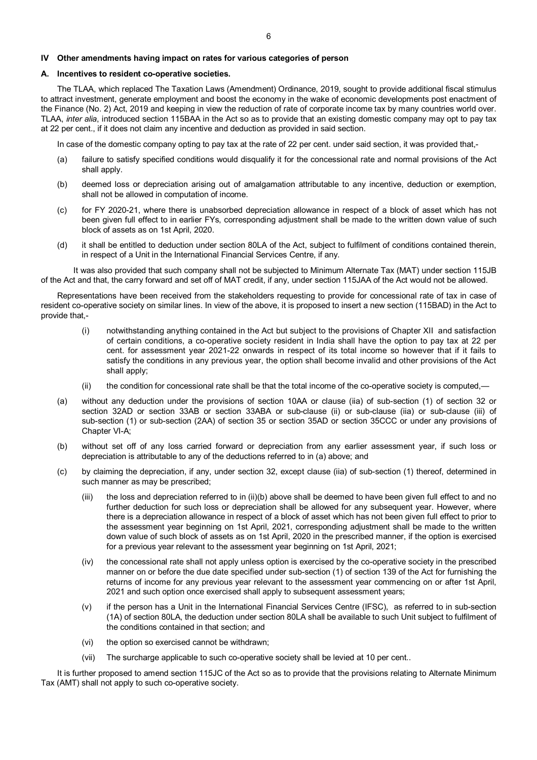# **IV Other amendments having impact on rates for various categories of person**

## **A. Incentives to resident co-operative societies.**

The TLAA, which replaced The Taxation Laws (Amendment) Ordinance, 2019, sought to provide additional fiscal stimulus to attract investment, generate employment and boost the economy in the wake of economic developments post enactment of the Finance (No. 2) Act, 2019 and keeping in view the reduction of rate of corporate income tax by many countries world over. TLAA, *inter alia*, introduced section 115BAA in the Act so as to provide that an existing domestic company may opt to pay tax at 22 per cent., if it does not claim any incentive and deduction as provided in said section.

In case of the domestic company opting to pay tax at the rate of 22 per cent. under said section, it was provided that,-

- (a) failure to satisfy specified conditions would disqualify it for the concessional rate and normal provisions of the Act shall apply.
- (b) deemed loss or depreciation arising out of amalgamation attributable to any incentive, deduction or exemption, shall not be allowed in computation of income.
- (c) for FY 2020-21, where there is unabsorbed depreciation allowance in respect of a block of asset which has not been given full effect to in earlier FYs, corresponding adjustment shall be made to the written down value of such block of assets as on 1st April, 2020.
- (d) it shall be entitled to deduction under section 80LA of the Act, subject to fulfilment of conditions contained therein, in respect of a Unit in the International Financial Services Centre, if any.

It was also provided that such company shall not be subjected to Minimum Alternate Tax (MAT) under section 115JB of the Act and that, the carry forward and set off of MAT credit, if any, under section 115JAA of the Act would not be allowed.

Representations have been received from the stakeholders requesting to provide for concessional rate of tax in case of resident co-operative society on similar lines. In view of the above, it is proposed to insert a new section (115BAD) in the Act to provide that,-

- (i) notwithstanding anything contained in the Act but subject to the provisions of Chapter XII and satisfaction of certain conditions, a co-operative society resident in India shall have the option to pay tax at 22 per cent. for assessment year 2021-22 onwards in respect of its total income so however that if it fails to satisfy the conditions in any previous year, the option shall become invalid and other provisions of the Act shall apply;
- (ii) the condition for concessional rate shall be that the total income of the co-operative society is computed,—
- (a) without any deduction under the provisions of section 10AA or clause (iia) of sub-section (1) of section 32 or section 32AD or section 33AB or section 33ABA or sub-clause (ii) or sub-clause (iia) or sub-clause (iii) of sub-section (1) or sub-section (2AA) of section 35 or section 35AD or section 35CCC or under any provisions of Chapter VI-A;
- (b) without set off of any loss carried forward or depreciation from any earlier assessment year, if such loss or depreciation is attributable to any of the deductions referred to in (a) above; and
- (c) by claiming the depreciation, if any, under section 32, except clause (iia) of sub-section (1) thereof, determined in such manner as may be prescribed;
	- (iii) the loss and depreciation referred to in (ii)(b) above shall be deemed to have been given full effect to and no further deduction for such loss or depreciation shall be allowed for any subsequent year. However, where there is a depreciation allowance in respect of a block of asset which has not been given full effect to prior to the assessment year beginning on 1st April, 2021, corresponding adjustment shall be made to the written down value of such block of assets as on 1st April, 2020 in the prescribed manner, if the option is exercised for a previous year relevant to the assessment year beginning on 1st April, 2021;
	- (iv) the concessional rate shall not apply unless option is exercised by the co-operative society in the prescribed manner on or before the due date specified under sub-section (1) of section 139 of the Act for furnishing the returns of income for any previous year relevant to the assessment year commencing on or after 1st April, 2021 and such option once exercised shall apply to subsequent assessment years;
	- (v) if the person has a Unit in the International Financial Services Centre (IFSC), as referred to in sub-section (1A) of section 80LA, the deduction under section 80LA shall be available to such Unit subject to fulfilment of the conditions contained in that section; and
	- (vi) the option so exercised cannot be withdrawn;
	- (vii) The surcharge applicable to such co-operative society shall be levied at 10 per cent..

It is further proposed to amend section 115JC of the Act so as to provide that the provisions relating to Alternate Minimum Tax (AMT) shall not apply to such co-operative society.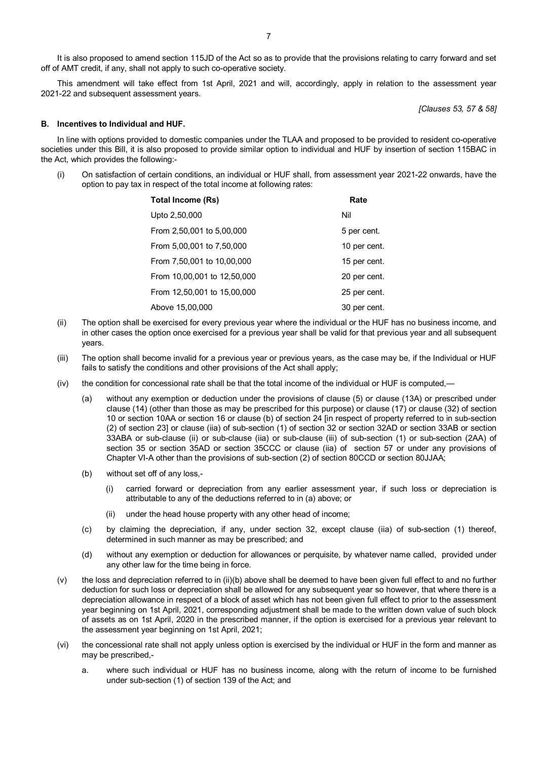It is also proposed to amend section 115JD of the Act so as to provide that the provisions relating to carry forward and set off of AMT credit, if any, shall not apply to such co-operative society.

This amendment will take effect from 1st April, 2021 and will, accordingly, apply in relation to the assessment year 2021-22 and subsequent assessment years.

*[Clauses 53, 57 & 58]*

# **B. Incentives to Individual and HUF.**

In line with options provided to domestic companies under the TLAA and proposed to be provided to resident co-operative societies under this Bill, it is also proposed to provide similar option to individual and HUF by insertion of section 115BAC in the Act, which provides the following:-

(i) On satisfaction of certain conditions, an individual or HUF shall, from assessment year 2021-22 onwards, have the option to pay tax in respect of the total income at following rates:

| Total Income (Rs)           | Rate         |
|-----------------------------|--------------|
| Upto 2,50,000               | Nil          |
| From 2,50,001 to 5,00,000   | 5 per cent.  |
| From 5,00,001 to 7,50,000   | 10 per cent. |
| From 7,50,001 to 10,00,000  | 15 per cent. |
| From 10,00,001 to 12,50,000 | 20 per cent. |
| From 12,50,001 to 15,00,000 | 25 per cent. |
| Above 15,00,000             | 30 per cent. |

- (ii) The option shall be exercised for every previous year where the individual or the HUF has no business income, and in other cases the option once exercised for a previous year shall be valid for that previous year and all subsequent years.
- (iii) The option shall become invalid for a previous year or previous years, as the case may be, if the Individual or HUF fails to satisfy the conditions and other provisions of the Act shall apply;
- (iv) the condition for concessional rate shall be that the total income of the individual or HUF is computed,—
	- (a) without any exemption or deduction under the provisions of clause (5) or clause (13A) or prescribed under clause (14) (other than those as may be prescribed for this purpose) or clause (17) or clause (32) of section 10 or section 10AA or section 16 or clause (b) of section 24 [in respect of property referred to in sub-section (2) of section 23] or clause (iia) of sub-section (1) of section 32 or section 32AD or section 33AB or section 33ABA or sub-clause (ii) or sub-clause (iia) or sub-clause (iii) of sub-section (1) or sub-section (2AA) of section 35 or section 35AD or section 35CCC or clause (iia) of section 57 or under any provisions of Chapter VI-A other than the provisions of sub-section (2) of section 80CCD or section 80JJAA;
	- (b) without set off of any loss,-
		- (i) carried forward or depreciation from any earlier assessment year, if such loss or depreciation is attributable to any of the deductions referred to in (a) above; or
		- (ii) under the head house property with any other head of income;
	- (c) by claiming the depreciation, if any, under section 32, except clause (iia) of sub-section (1) thereof, determined in such manner as may be prescribed; and
	- (d) without any exemption or deduction for allowances or perquisite, by whatever name called, provided under any other law for the time being in force.
- (v) the loss and depreciation referred to in (ii)(b) above shall be deemed to have been given full effect to and no further deduction for such loss or depreciation shall be allowed for any subsequent year so however, that where there is a depreciation allowance in respect of a block of asset which has not been given full effect to prior to the assessment year beginning on 1st April, 2021, corresponding adjustment shall be made to the written down value of such block of assets as on 1st April, 2020 in the prescribed manner, if the option is exercised for a previous year relevant to the assessment year beginning on 1st April, 2021;
- (vi) the concessional rate shall not apply unless option is exercised by the individual or HUF in the form and manner as may be prescribed,
	- a. where such individual or HUF has no business income, along with the return of income to be furnished under sub-section (1) of section 139 of the Act; and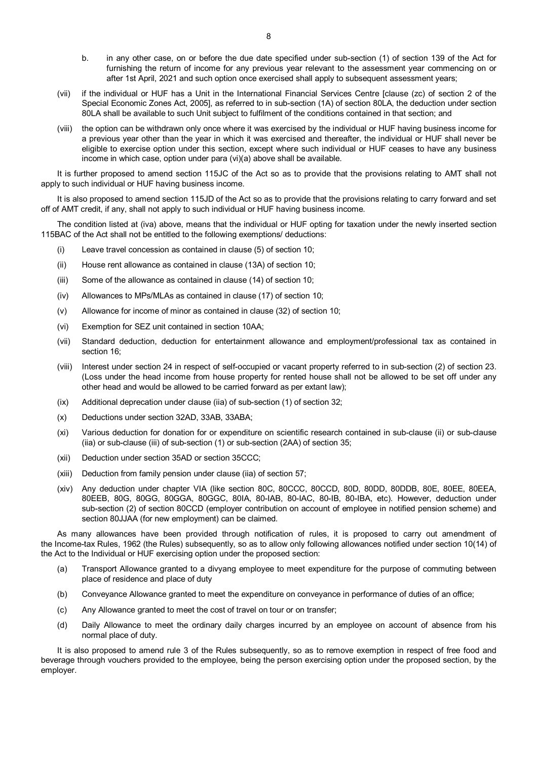- b. in any other case, on or before the due date specified under sub-section (1) of section 139 of the Act for furnishing the return of income for any previous year relevant to the assessment year commencing on or after 1st April, 2021 and such option once exercised shall apply to subsequent assessment years;
- (vii) if the individual or HUF has a Unit in the International Financial Services Centre [clause (zc) of section 2 of the Special Economic Zones Act, 2005], as referred to in sub-section (1A) of section 80LA, the deduction under section 80LA shall be available to such Unit subject to fulfilment of the conditions contained in that section; and
- (viii) the option can be withdrawn only once where it was exercised by the individual or HUF having business income for a previous year other than the year in which it was exercised and thereafter, the individual or HUF shall never be eligible to exercise option under this section, except where such individual or HUF ceases to have any business income in which case, option under para (vi)(a) above shall be available.

It is further proposed to amend section 115JC of the Act so as to provide that the provisions relating to AMT shall not apply to such individual or HUF having business income.

It is also proposed to amend section 115JD of the Act so as to provide that the provisions relating to carry forward and set off of AMT credit, if any, shall not apply to such individual or HUF having business income.

The condition listed at (iva) above, means that the individual or HUF opting for taxation under the newly inserted section 115BAC of the Act shall not be entitled to the following exemptions/ deductions:

- (i) Leave travel concession as contained in clause (5) of section 10;
- (ii) House rent allowance as contained in clause (13A) of section 10;
- (iii) Some of the allowance as contained in clause (14) of section 10;
- (iv) Allowances to MPs/MLAs as contained in clause (17) of section 10;
- (v) Allowance for income of minor as contained in clause (32) of section 10;
- (vi) Exemption for SEZ unit contained in section 10AA;
- (vii) Standard deduction, deduction for entertainment allowance and employment/professional tax as contained in section 16;
- (viii) Interest under section 24 in respect of self-occupied or vacant property referred to in sub-section (2) of section 23. (Loss under the head income from house property for rented house shall not be allowed to be set off under any other head and would be allowed to be carried forward as per extant law);
- (ix) Additional deprecation under clause (iia) of sub-section (1) of section 32;
- (x) Deductions under section 32AD, 33AB, 33ABA;
- (xi) Various deduction for donation for or expenditure on scientific research contained in sub-clause (ii) or sub-clause (iia) or sub-clause (iii) of sub-section (1) or sub-section (2AA) of section 35;
- (xii) Deduction under section 35AD or section 35CCC;
- (xiii) Deduction from family pension under clause (iia) of section 57;
- (xiv) Any deduction under chapter VIA (like section 80C, 80CCC, 80CCD, 80D, 80DD, 80DDB, 80E, 80EE, 80EEA, 80EEB, 80G, 80GG, 80GGA, 80GGC, 80IA, 80-IAB, 80-IAC, 80-IB, 80-IBA, etc). However, deduction under sub-section (2) of section 80CCD (employer contribution on account of employee in notified pension scheme) and section 80JJAA (for new employment) can be claimed.

As many allowances have been provided through notification of rules, it is proposed to carry out amendment of the Income-tax Rules, 1962 (the Rules) subsequently, so as to allow only following allowances notified under section 10(14) of the Act to the Individual or HUF exercising option under the proposed section:

- (a) Transport Allowance granted to a divyang employee to meet expenditure for the purpose of commuting between place of residence and place of duty
- (b) Conveyance Allowance granted to meet the expenditure on conveyance in performance of duties of an office;
- (c) Any Allowance granted to meet the cost of travel on tour or on transfer;
- (d) Daily Allowance to meet the ordinary daily charges incurred by an employee on account of absence from his normal place of duty.

It is also proposed to amend rule 3 of the Rules subsequently, so as to remove exemption in respect of free food and beverage through vouchers provided to the employee, being the person exercising option under the proposed section, by the employer.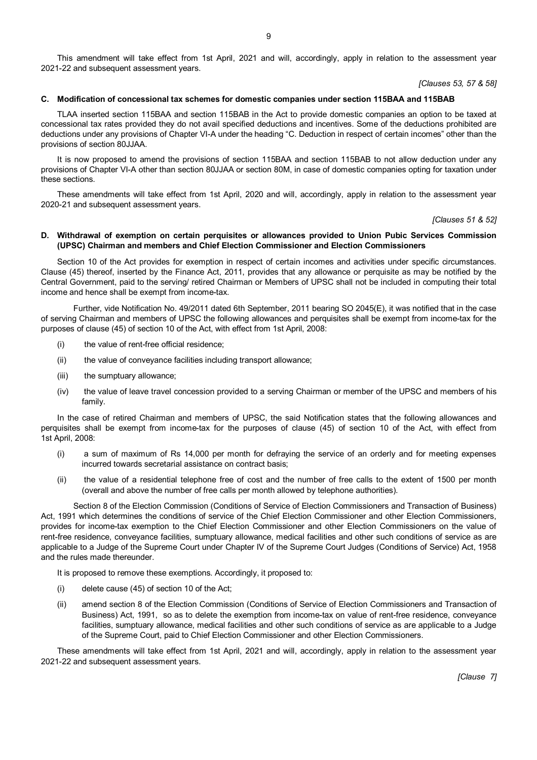This amendment will take effect from 1st April, 2021 and will, accordingly, apply in relation to the assessment year 2021-22 and subsequent assessment years.

*[Clauses 53, 57 & 58]*

#### **C. Modification of concessional tax schemes for domestic companies under section 115BAA and 115BAB**

TLAA inserted section 115BAA and section 115BAB in the Act to provide domestic companies an option to be taxed at concessional tax rates provided they do not avail specified deductions and incentives. Some of the deductions prohibited are deductions under any provisions of Chapter VI-A under the heading "C. Deduction in respect of certain incomes" other than the provisions of section 80JJAA.

It is now proposed to amend the provisions of section 115BAA and section 115BAB to not allow deduction under any provisions of Chapter VI-A other than section 80JJAA or section 80M, in case of domestic companies opting for taxation under these sections.

These amendments will take effect from 1st April, 2020 and will, accordingly, apply in relation to the assessment year 2020-21 and subsequent assessment years.

*[Clauses 51 & 52]*

# **D. Withdrawal of exemption on certain perquisites or allowances provided to Union Pubic Services Commission (UPSC) Chairman and members and Chief Election Commissioner and Election Commissioners**

Section 10 of the Act provides for exemption in respect of certain incomes and activities under specific circumstances. Clause (45) thereof, inserted by the Finance Act, 2011, provides that any allowance or perquisite as may be notified by the Central Government, paid to the serving/ retired Chairman or Members of UPSC shall not be included in computing their total income and hence shall be exempt from income-tax.

Further, vide Notification No. 49/2011 dated 6th September, 2011 bearing SO 2045(E), it was notified that in the case of serving Chairman and members of UPSC the following allowances and perquisites shall be exempt from income-tax for the purposes of clause (45) of section 10 of the Act, with effect from 1st April, 2008:

- (i) the value of rent-free official residence;
- (ii) the value of conveyance facilities including transport allowance;
- (iii) the sumptuary allowance;
- (iv) the value of leave travel concession provided to a serving Chairman or member of the UPSC and members of his family.

In the case of retired Chairman and members of UPSC, the said Notification states that the following allowances and perquisites shall be exempt from income-tax for the purposes of clause (45) of section 10 of the Act, with effect from 1st April, 2008:

- (i) a sum of maximum of Rs 14,000 per month for defraying the service of an orderly and for meeting expenses incurred towards secretarial assistance on contract basis;
- (ii) the value of a residential telephone free of cost and the number of free calls to the extent of 1500 per month (overall and above the number of free calls per month allowed by telephone authorities).

Section 8 of the Election Commission (Conditions of Service of Election Commissioners and Transaction of Business) Act, 1991 which determines the conditions of service of the Chief Election Commissioner and other Election Commissioners, provides for income-tax exemption to the Chief Election Commissioner and other Election Commissioners on the value of rent-free residence, conveyance facilities, sumptuary allowance, medical facilities and other such conditions of service as are applicable to a Judge of the Supreme Court under Chapter IV of the Supreme Court Judges (Conditions of Service) Act, 1958 and the rules made thereunder.

It is proposed to remove these exemptions. Accordingly, it proposed to:

- (i) delete cause (45) of section 10 of the Act;
- (ii) amend section 8 of the Election Commission (Conditions of Service of Election Commissioners and Transaction of Business) Act, 1991, so as to delete the exemption from income-tax on value of rent-free residence, conveyance facilities, sumptuary allowance, medical facilities and other such conditions of service as are applicable to a Judge of the Supreme Court, paid to Chief Election Commissioner and other Election Commissioners.

These amendments will take effect from 1st April, 2021 and will, accordingly, apply in relation to the assessment year 2021-22 and subsequent assessment years.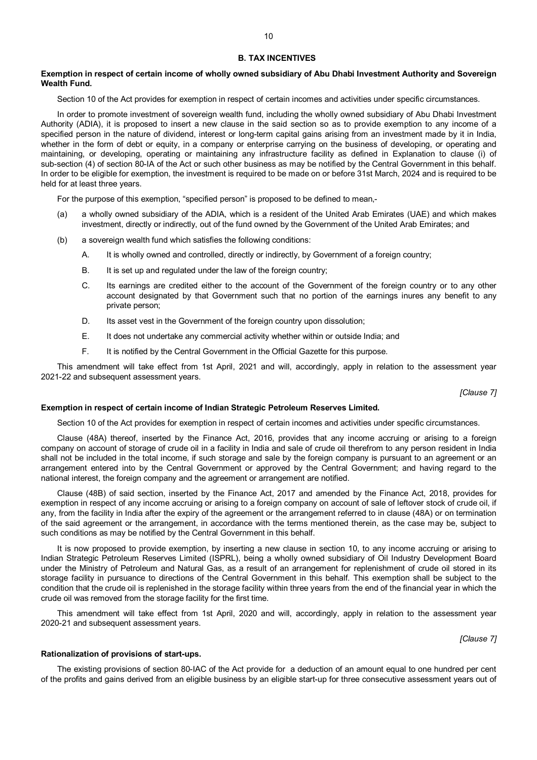#### **B. TAX INCENTIVES**

# **Exemption in respect of certain income of wholly owned subsidiary of Abu Dhabi Investment Authority and Sovereign Wealth Fund.**

Section 10 of the Act provides for exemption in respect of certain incomes and activities under specific circumstances.

In order to promote investment of sovereign wealth fund, including the wholly owned subsidiary of Abu Dhabi Investment Authority (ADIA), it is proposed to insert a new clause in the said section so as to provide exemption to any income of a specified person in the nature of dividend, interest or long-term capital gains arising from an investment made by it in India, whether in the form of debt or equity, in a company or enterprise carrying on the business of developing, or operating and maintaining, or developing, operating or maintaining any infrastructure facility as defined in Explanation to clause (i) of sub-section (4) of section 80-IA of the Act or such other business as may be notified by the Central Government in this behalf. In order to be eligible for exemption, the investment is required to be made on or before 31st March, 2024 and is required to be held for at least three years.

For the purpose of this exemption, "specified person" is proposed to be defined to mean,-

- (a) a wholly owned subsidiary of the ADIA, which is a resident of the United Arab Emirates (UAE) and which makes investment, directly or indirectly, out of the fund owned by the Government of the United Arab Emirates; and
- (b) a sovereign wealth fund which satisfies the following conditions:
	- A. It is wholly owned and controlled, directly or indirectly, by Government of a foreign country;
	- B. It is set up and regulated under the law of the foreign country;
	- C. Its earnings are credited either to the account of the Government of the foreign country or to any other account designated by that Government such that no portion of the earnings inures any benefit to any private person;
	- D. Its asset vest in the Government of the foreign country upon dissolution;
	- E. It does not undertake any commercial activity whether within or outside India; and
	- F. It is notified by the Central Government in the Official Gazette for this purpose.

This amendment will take effect from 1st April, 2021 and will, accordingly, apply in relation to the assessment year 2021-22 and subsequent assessment years.

*[Clause 7]*

#### **Exemption in respect of certain income of Indian Strategic Petroleum Reserves Limited.**

Section 10 of the Act provides for exemption in respect of certain incomes and activities under specific circumstances.

Clause (48A) thereof, inserted by the Finance Act, 2016, provides that any income accruing or arising to a foreign company on account of storage of crude oil in a facility in India and sale of crude oil therefrom to any person resident in India shall not be included in the total income, if such storage and sale by the foreign company is pursuant to an agreement or an arrangement entered into by the Central Government or approved by the Central Government; and having regard to the national interest, the foreign company and the agreement or arrangement are notified.

Clause (48B) of said section, inserted by the Finance Act, 2017 and amended by the Finance Act, 2018, provides for exemption in respect of any income accruing or arising to a foreign company on account of sale of leftover stock of crude oil, if any, from the facility in India after the expiry of the agreement or the arrangement referred to in clause (48A) or on termination of the said agreement or the arrangement, in accordance with the terms mentioned therein, as the case may be, subject to such conditions as may be notified by the Central Government in this behalf.

It is now proposed to provide exemption, by inserting a new clause in section 10, to any income accruing or arising to Indian Strategic Petroleum Reserves Limited (ISPRL), being a wholly owned subsidiary of Oil Industry Development Board under the Ministry of Petroleum and Natural Gas, as a result of an arrangement for replenishment of crude oil stored in its storage facility in pursuance to directions of the Central Government in this behalf. This exemption shall be subject to the condition that the crude oil is replenished in the storage facility within three years from the end of the financial year in which the crude oil was removed from the storage facility for the first time.

This amendment will take effect from 1st April, 2020 and will, accordingly, apply in relation to the assessment year 2020-21 and subsequent assessment years.

*[Clause 7]*

#### **Rationalization of provisions of start-ups.**

The existing provisions of section 80-IAC of the Act provide for a deduction of an amount equal to one hundred per cent of the profits and gains derived from an eligible business by an eligible start-up for three consecutive assessment years out of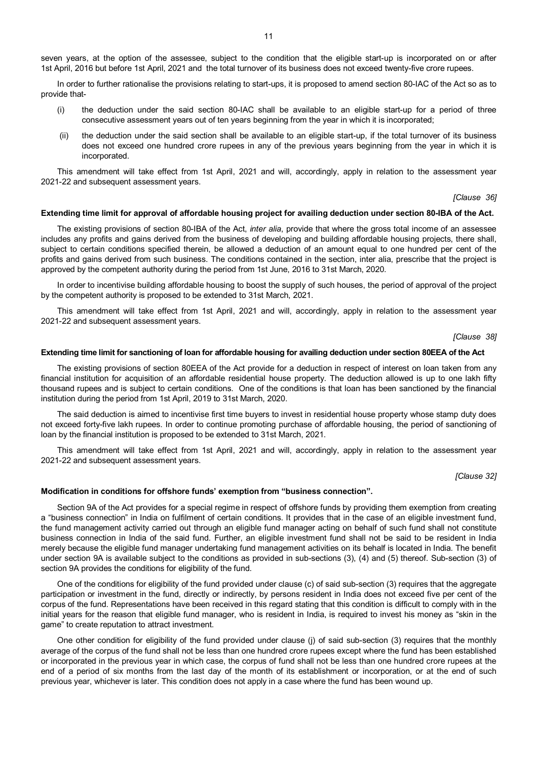seven years, at the option of the assessee, subject to the condition that the eligible start-up is incorporated on or after 1st April, 2016 but before 1st April, 2021 and the total turnover of its business does not exceed twenty-five crore rupees.

In order to further rationalise the provisions relating to start-ups, it is proposed to amend section 80-IAC of the Act so as to provide that-

- (i) the deduction under the said section 80-IAC shall be available to an eligible start-up for a period of three consecutive assessment years out of ten years beginning from the year in which it is incorporated;
- (ii) the deduction under the said section shall be available to an eligible start-up, if the total turnover of its business does not exceed one hundred crore rupees in any of the previous years beginning from the year in which it is incorporated.

This amendment will take effect from 1st April, 2021 and will, accordingly, apply in relation to the assessment year 2021-22 and subsequent assessment years.

*[Clause 36]*

#### **Extending time limit for approval of affordable housing project for availing deduction under section 80-IBA of the Act.**

The existing provisions of section 80-IBA of the Act, *inter alia*, provide that where the gross total income of an assessee includes any profits and gains derived from the business of developing and building affordable housing projects, there shall, subject to certain conditions specified therein, be allowed a deduction of an amount equal to one hundred per cent of the profits and gains derived from such business. The conditions contained in the section, inter alia, prescribe that the project is approved by the competent authority during the period from 1st June, 2016 to 31st March, 2020.

In order to incentivise building affordable housing to boost the supply of such houses, the period of approval of the project by the competent authority is proposed to be extended to 31st March, 2021.

This amendment will take effect from 1st April, 2021 and will, accordingly, apply in relation to the assessment year 2021-22 and subsequent assessment years.

*[Clause 38]*

## **Extending time limit for sanctioning of loan for affordable housing for availing deduction under section 80EEA of the Act**

The existing provisions of section 80EEA of the Act provide for a deduction in respect of interest on loan taken from any financial institution for acquisition of an affordable residential house property. The deduction allowed is up to one lakh fifty thousand rupees and is subject to certain conditions. One of the conditions is that loan has been sanctioned by the financial institution during the period from 1st April, 2019 to 31st March, 2020.

The said deduction is aimed to incentivise first time buyers to invest in residential house property whose stamp duty does not exceed forty-five lakh rupees. In order to continue promoting purchase of affordable housing, the period of sanctioning of loan by the financial institution is proposed to be extended to 31st March, 2021.

This amendment will take effect from 1st April, 2021 and will, accordingly, apply in relation to the assessment year 2021-22 and subsequent assessment years.

*[Clause 32]*

#### **Modification in conditions for offshore funds' exemption from "business connection".**

Section 9A of the Act provides for a special regime in respect of offshore funds by providing them exemption from creating a "business connection" in India on fulfilment of certain conditions. It provides that in the case of an eligible investment fund, the fund management activity carried out through an eligible fund manager acting on behalf of such fund shall not constitute business connection in India of the said fund. Further, an eligible investment fund shall not be said to be resident in India merely because the eligible fund manager undertaking fund management activities on its behalf is located in India. The benefit under section 9A is available subject to the conditions as provided in sub-sections (3), (4) and (5) thereof. Sub-section (3) of section 9A provides the conditions for eligibility of the fund.

One of the conditions for eligibility of the fund provided under clause (c) of said sub-section (3) requires that the aggregate participation or investment in the fund, directly or indirectly, by persons resident in India does not exceed five per cent of the corpus of the fund. Representations have been received in this regard stating that this condition is difficult to comply with in the initial years for the reason that eligible fund manager, who is resident in India, is required to invest his money as "skin in the game" to create reputation to attract investment.

One other condition for eligibility of the fund provided under clause (j) of said sub-section (3) requires that the monthly average of the corpus of the fund shall not be less than one hundred crore rupees except where the fund has been established or incorporated in the previous year in which case, the corpus of fund shall not be less than one hundred crore rupees at the end of a period of six months from the last day of the month of its establishment or incorporation, or at the end of such previous year, whichever is later. This condition does not apply in a case where the fund has been wound up.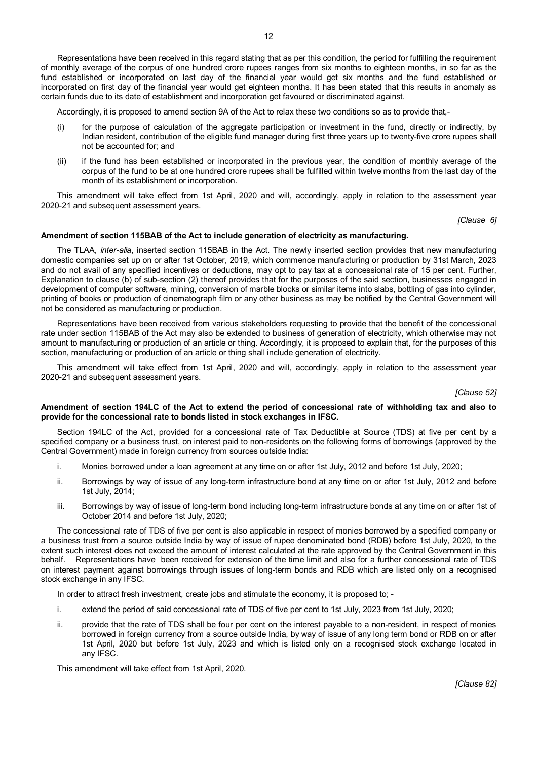Representations have been received in this regard stating that as per this condition, the period for fulfilling the requirement of monthly average of the corpus of one hundred crore rupees ranges from six months to eighteen months, in so far as the fund established or incorporated on last day of the financial year would get six months and the fund established or incorporated on first day of the financial year would get eighteen months. It has been stated that this results in anomaly as certain funds due to its date of establishment and incorporation get favoured or discriminated against.

Accordingly, it is proposed to amend section 9A of the Act to relax these two conditions so as to provide that,-

- (i) for the purpose of calculation of the aggregate participation or investment in the fund, directly or indirectly, by Indian resident, contribution of the eligible fund manager during first three years up to twenty-five crore rupees shall not be accounted for; and
- (ii) if the fund has been established or incorporated in the previous year, the condition of monthly average of the corpus of the fund to be at one hundred crore rupees shall be fulfilled within twelve months from the last day of the month of its establishment or incorporation.

This amendment will take effect from 1st April, 2020 and will, accordingly, apply in relation to the assessment year 2020-21 and subsequent assessment years.

*[Clause 6]*

#### **Amendment of section 115BAB of the Act to include generation of electricity as manufacturing.**

The TLAA, *inter-alia*, inserted section 115BAB in the Act. The newly inserted section provides that new manufacturing domestic companies set up on or after 1st October, 2019, which commence manufacturing or production by 31st March, 2023 and do not avail of any specified incentives or deductions, may opt to pay tax at a concessional rate of 15 per cent. Further, Explanation to clause (b) of sub-section (2) thereof provides that for the purposes of the said section, businesses engaged in development of computer software, mining, conversion of marble blocks or similar items into slabs, bottling of gas into cylinder, printing of books or production of cinematograph film or any other business as may be notified by the Central Government will not be considered as manufacturing or production.

Representations have been received from various stakeholders requesting to provide that the benefit of the concessional rate under section 115BAB of the Act may also be extended to business of generation of electricity, which otherwise may not amount to manufacturing or production of an article or thing. Accordingly, it is proposed to explain that, for the purposes of this section, manufacturing or production of an article or thing shall include generation of electricity.

This amendment will take effect from 1st April, 2020 and will, accordingly, apply in relation to the assessment year 2020-21 and subsequent assessment years.

*[Clause 52]*

#### **Amendment of section 194LC of the Act to extend the period of concessional rate of withholding tax and also to provide for the concessional rate to bonds listed in stock exchanges in IFSC.**

Section 194LC of the Act, provided for a concessional rate of Tax Deductible at Source (TDS) at five per cent by a specified company or a business trust, on interest paid to non-residents on the following forms of borrowings (approved by the Central Government) made in foreign currency from sources outside India:

- i. Monies borrowed under a loan agreement at any time on or after 1st July, 2012 and before 1st July, 2020;
- ii. Borrowings by way of issue of any long-term infrastructure bond at any time on or after 1st July, 2012 and before 1st July, 2014;
- iii. Borrowings by way of issue of long-term bond including long-term infrastructure bonds at any time on or after 1st of October 2014 and before 1st July, 2020;

The concessional rate of TDS of five per cent is also applicable in respect of monies borrowed by a specified company or a business trust from a source outside India by way of issue of rupee denominated bond (RDB) before 1st July, 2020, to the extent such interest does not exceed the amount of interest calculated at the rate approved by the Central Government in this behalf. Representations have been received for extension of the time limit and also for a further concessional rate of TDS on interest payment against borrowings through issues of long-term bonds and RDB which are listed only on a recognised stock exchange in any IFSC.

In order to attract fresh investment, create jobs and stimulate the economy, it is proposed to; -

- i. extend the period of said concessional rate of TDS of five per cent to 1st July, 2023 from 1st July, 2020;
- ii. provide that the rate of TDS shall be four per cent on the interest payable to a non-resident, in respect of monies borrowed in foreign currency from a source outside India, by way of issue of any long term bond or RDB on or after 1st April, 2020 but before 1st July, 2023 and which is listed only on a recognised stock exchange located in any IFSC.

This amendment will take effect from 1st April, 2020.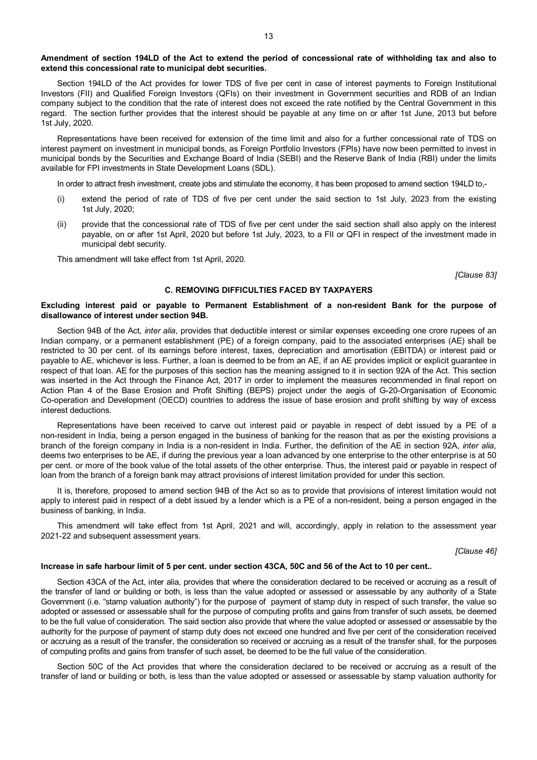# **Amendment of section 194LD of the Act to extend the period of concessional rate of withholding tax and also to extend this concessional rate to municipal debt securities.**

Section 194LD of the Act provides for lower TDS of five per cent in case of interest payments to Foreign Institutional Investors (FII) and Qualified Foreign Investors (QFIs) on their investment in Government securities and RDB of an Indian company subject to the condition that the rate of interest does not exceed the rate notified by the Central Government in this regard. The section further provides that the interest should be payable at any time on or after 1st June, 2013 but before 1st July, 2020.

Representations have been received for extension of the time limit and also for a further concessional rate of TDS on interest payment on investment in municipal bonds, as Foreign Portfolio Investors (FPIs) have now been permitted to invest in municipal bonds by the Securities and Exchange Board of India (SEBI) and the Reserve Bank of India (RBI) under the limits available for FPI investments in State Development Loans (SDL).

In order to attract fresh investment, create jobs and stimulate the economy, it has been proposed to amend section 194LD to,-

- (i) extend the period of rate of TDS of five per cent under the said section to 1st July, 2023 from the existing 1st July, 2020;
- (ii) provide that the concessional rate of TDS of five per cent under the said section shall also apply on the interest payable, on or after 1st April, 2020 but before 1st July, 2023, to a FII or QFI in respect of the investment made in municipal debt security.

This amendment will take effect from 1st April, 2020.

*[Clause 83]*

# **C. REMOVING DIFFICULTIES FACED BY TAXPAYERS**

#### **Excluding interest paid or payable to Permanent Establishment of a non-resident Bank for the purpose of disallowance of interest under section 94B.**

Section 94B of the Act, *inter alia*, provides that deductible interest or similar expenses exceeding one crore rupees of an Indian company, or a permanent establishment (PE) of a foreign company, paid to the associated enterprises (AE) shall be restricted to 30 per cent. of its earnings before interest, taxes, depreciation and amortisation (EBITDA) or interest paid or payable to AE, whichever is less. Further, a loan is deemed to be from an AE, if an AE provides implicit or explicit guarantee in respect of that loan. AE for the purposes of this section has the meaning assigned to it in section 92A of the Act. This section was inserted in the Act through the Finance Act, 2017 in order to implement the measures recommended in final report on Action Plan 4 of the Base Erosion and Profit Shifting (BEPS) project under the aegis of G-20-Organisation of Economic Co-operation and Development (OECD) countries to address the issue of base erosion and profit shifting by way of excess interest deductions.

Representations have been received to carve out interest paid or payable in respect of debt issued by a PE of a non-resident in India, being a person engaged in the business of banking for the reason that as per the existing provisions a branch of the foreign company in India is a non-resident in India. Further, the definition of the AE in section 92A, *inter alia*, deems two enterprises to be AE, if during the previous year a loan advanced by one enterprise to the other enterprise is at 50 per cent. or more of the book value of the total assets of the other enterprise. Thus, the interest paid or payable in respect of loan from the branch of a foreign bank may attract provisions of interest limitation provided for under this section.

It is, therefore, proposed to amend section 94B of the Act so as to provide that provisions of interest limitation would not apply to interest paid in respect of a debt issued by a lender which is a PE of a non-resident, being a person engaged in the business of banking, in India.

This amendment will take effect from 1st April, 2021 and will, accordingly, apply in relation to the assessment year 2021-22 and subsequent assessment years.

*[Clause 46]*

#### **Increase in safe harbour limit of 5 per cent. under section 43CA, 50C and 56 of the Act to 10 per cent..**

Section 43CA of the Act, inter alia, provides that where the consideration declared to be received or accruing as a result of the transfer of land or building or both, is less than the value adopted or assessed or assessable by any authority of a State Government (i.e. "stamp valuation authority") for the purpose of payment of stamp duty in respect of such transfer, the value so adopted or assessed or assessable shall for the purpose of computing profits and gains from transfer of such assets, be deemed to be the full value of consideration. The said section also provide that where the value adopted or assessed or assessable by the authority for the purpose of payment of stamp duty does not exceed one hundred and five per cent of the consideration received or accruing as a result of the transfer, the consideration so received or accruing as a result of the transfer shall, for the purposes of computing profits and gains from transfer of such asset, be deemed to be the full value of the consideration.

Section 50C of the Act provides that where the consideration declared to be received or accruing as a result of the transfer of land or building or both, is less than the value adopted or assessed or assessable by stamp valuation authority for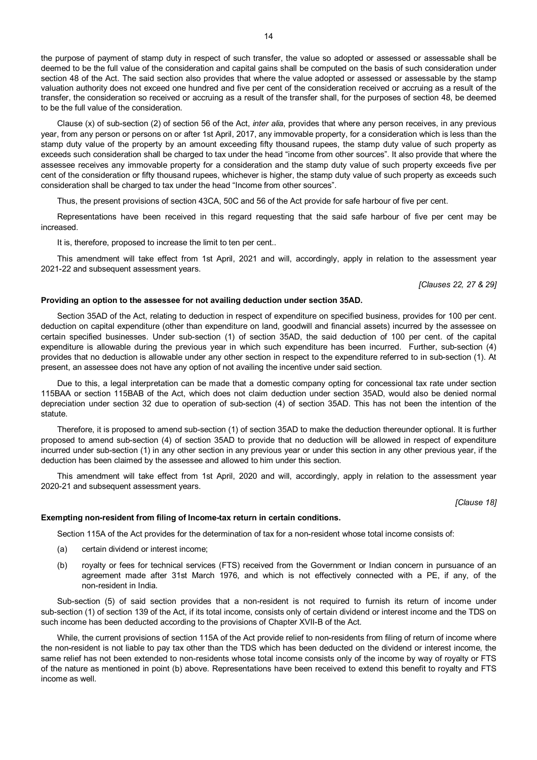the purpose of payment of stamp duty in respect of such transfer, the value so adopted or assessed or assessable shall be deemed to be the full value of the consideration and capital gains shall be computed on the basis of such consideration under section 48 of the Act. The said section also provides that where the value adopted or assessed or assessable by the stamp valuation authority does not exceed one hundred and five per cent of the consideration received or accruing as a result of the transfer, the consideration so received or accruing as a result of the transfer shall, for the purposes of section 48, be deemed to be the full value of the consideration.

Clause (x) of sub-section (2) of section 56 of the Act, *inter alia*, provides that where any person receives, in any previous year, from any person or persons on or after 1st April, 2017, any immovable property, for a consideration which is less than the stamp duty value of the property by an amount exceeding fifty thousand rupees, the stamp duty value of such property as exceeds such consideration shall be charged to tax under the head "income from other sources". It also provide that where the assessee receives any immovable property for a consideration and the stamp duty value of such property exceeds five per cent of the consideration or fifty thousand rupees, whichever is higher, the stamp duty value of such property as exceeds such consideration shall be charged to tax under the head "Income from other sources".

Thus, the present provisions of section 43CA, 50C and 56 of the Act provide for safe harbour of five per cent.

Representations have been received in this regard requesting that the said safe harbour of five per cent may be increased.

It is, therefore, proposed to increase the limit to ten per cent..

This amendment will take effect from 1st April, 2021 and will, accordingly, apply in relation to the assessment year 2021-22 and subsequent assessment years.

*[Clauses 22, 27 & 29]*

#### **Providing an option to the assessee for not availing deduction under section 35AD.**

Section 35AD of the Act, relating to deduction in respect of expenditure on specified business, provides for 100 per cent. deduction on capital expenditure (other than expenditure on land, goodwill and financial assets) incurred by the assessee on certain specified businesses. Under sub-section (1) of section 35AD, the said deduction of 100 per cent. of the capital expenditure is allowable during the previous year in which such expenditure has been incurred. Further, sub-section (4) provides that no deduction is allowable under any other section in respect to the expenditure referred to in sub-section (1). At present, an assessee does not have any option of not availing the incentive under said section.

Due to this, a legal interpretation can be made that a domestic company opting for concessional tax rate under section 115BAA or section 115BAB of the Act, which does not claim deduction under section 35AD, would also be denied normal depreciation under section 32 due to operation of sub-section (4) of section 35AD. This has not been the intention of the statute.

Therefore, it is proposed to amend sub-section (1) of section 35AD to make the deduction thereunder optional. It is further proposed to amend sub-section (4) of section 35AD to provide that no deduction will be allowed in respect of expenditure incurred under sub-section (1) in any other section in any previous year or under this section in any other previous year, if the deduction has been claimed by the assessee and allowed to him under this section.

This amendment will take effect from 1st April, 2020 and will, accordingly, apply in relation to the assessment year 2020-21 and subsequent assessment years.

*[Clause 18]*

#### **Exempting non-resident from filing of Income-tax return in certain conditions.**

Section 115A of the Act provides for the determination of tax for a non-resident whose total income consists of:

- (a) certain dividend or interest income;
- (b) royalty or fees for technical services (FTS) received from the Government or Indian concern in pursuance of an agreement made after 31st March 1976, and which is not effectively connected with a PE, if any, of the non-resident in India.

Sub-section (5) of said section provides that a non-resident is not required to furnish its return of income under sub-section (1) of section 139 of the Act, if its total income, consists only of certain dividend or interest income and the TDS on such income has been deducted according to the provisions of Chapter XVII-B of the Act.

While, the current provisions of section 115A of the Act provide relief to non-residents from filing of return of income where the non-resident is not liable to pay tax other than the TDS which has been deducted on the dividend or interest income, the same relief has not been extended to non-residents whose total income consists only of the income by way of royalty or FTS of the nature as mentioned in point (b) above. Representations have been received to extend this benefit to royalty and FTS income as well.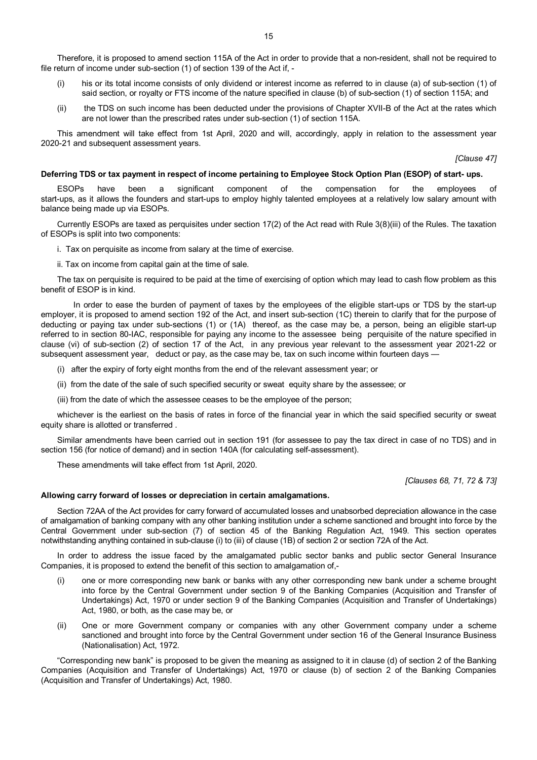Therefore, it is proposed to amend section 115A of the Act in order to provide that a non-resident, shall not be required to file return of income under sub-section (1) of section 139 of the Act if, -

- (i) his or its total income consists of only dividend or interest income as referred to in clause (a) of sub-section (1) of said section, or royalty or FTS income of the nature specified in clause (b) of sub-section (1) of section 115A; and
- (ii) the TDS on such income has been deducted under the provisions of Chapter XVII-B of the Act at the rates which are not lower than the prescribed rates under sub-section (1) of section 115A.

This amendment will take effect from 1st April, 2020 and will, accordingly, apply in relation to the assessment year 2020-21 and subsequent assessment years.

*[Clause 47]*

#### **Deferring TDS or tax payment in respect of income pertaining to Employee Stock Option Plan (ESOP) of start- ups.**

ESOPs have been a significant component of the compensation for the employees of start-ups, as it allows the founders and start-ups to employ highly talented employees at a relatively low salary amount with balance being made up via ESOPs.

Currently ESOPs are taxed as perquisites under section 17(2) of the Act read with Rule 3(8)(iii) of the Rules. The taxation of ESOPs is split into two components:

- i. Tax on perquisite as income from salary at the time of exercise.
- ii. Tax on income from capital gain at the time of sale.

The tax on perquisite is required to be paid at the time of exercising of option which may lead to cash flow problem as this benefit of ESOP is in kind.

In order to ease the burden of payment of taxes by the employees of the eligible start-ups or TDS by the start-up employer, it is proposed to amend section 192 of the Act, and insert sub-section (1C) therein to clarify that for the purpose of deducting or paying tax under sub-sections (1) or (1A) thereof, as the case may be, a person, being an eligible start-up referred to in section 80-IAC, responsible for paying any income to the assessee being perquisite of the nature specified in clause (vi) of sub-section (2) of section 17 of the Act, in any previous year relevant to the assessment year 2021-22 or subsequent assessment year, deduct or pay, as the case may be, tax on such income within fourteen days -

- (i) after the expiry of forty eight months from the end of the relevant assessment year; or
- (ii) from the date of the sale of such specified security or sweat equity share by the assessee; or
- (iii) from the date of which the assessee ceases to be the employee of the person;

whichever is the earliest on the basis of rates in force of the financial year in which the said specified security or sweat equity share is allotted or transferred .

Similar amendments have been carried out in section 191 (for assessee to pay the tax direct in case of no TDS) and in section 156 (for notice of demand) and in section 140A (for calculating self-assessment).

These amendments will take effect from 1st April, 2020.

*[Clauses 68, 71, 72 & 73]*

#### **Allowing carry forward of losses or depreciation in certain amalgamations.**

Section 72AA of the Act provides for carry forward of accumulated losses and unabsorbed depreciation allowance in the case of amalgamation of banking company with any other banking institution under a scheme sanctioned and brought into force by the Central Government under sub-section (7) of section 45 of the Banking Regulation Act, 1949. This section operates notwithstanding anything contained in sub-clause (i) to (iii) of clause (1B) of section 2 or section 72A of the Act.

In order to address the issue faced by the amalgamated public sector banks and public sector General Insurance Companies, it is proposed to extend the benefit of this section to amalgamation of,-

- (i) one or more corresponding new bank or banks with any other corresponding new bank under a scheme brought into force by the Central Government under section 9 of the Banking Companies (Acquisition and Transfer of Undertakings) Act, 1970 or under section 9 of the Banking Companies (Acquisition and Transfer of Undertakings) Act, 1980, or both, as the case may be, or
- (ii) One or more Government company or companies with any other Government company under a scheme sanctioned and brought into force by the Central Government under section 16 of the General Insurance Business (Nationalisation) Act, 1972.

"Corresponding new bank" is proposed to be given the meaning as assigned to it in clause (d) of section 2 of the Banking Companies (Acquisition and Transfer of Undertakings) Act, 1970 or clause (b) of section 2 of the Banking Companies (Acquisition and Transfer of Undertakings) Act, 1980.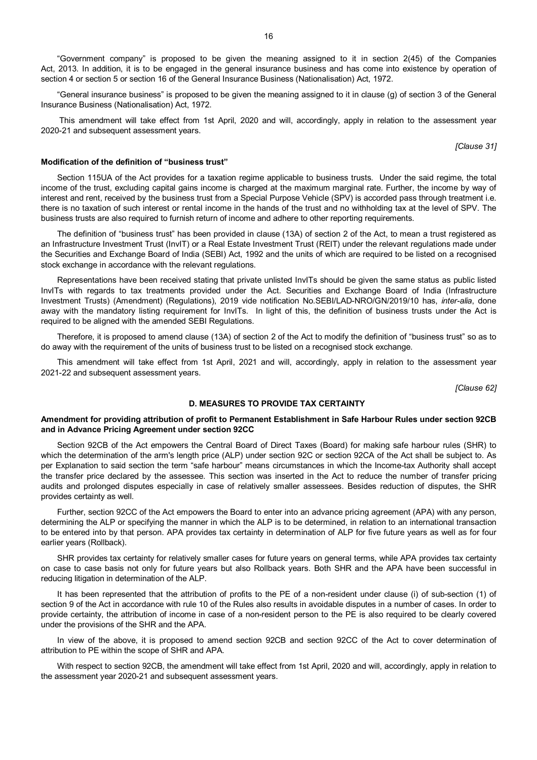"Government company" is proposed to be given the meaning assigned to it in section 2(45) of the Companies Act, 2013. In addition, it is to be engaged in the general insurance business and has come into existence by operation of section 4 or section 5 or section 16 of the General Insurance Business (Nationalisation) Act, 1972.

"General insurance business" is proposed to be given the meaning assigned to it in clause (g) of section 3 of the General Insurance Business (Nationalisation) Act, 1972.

This amendment will take effect from 1st April, 2020 and will, accordingly, apply in relation to the assessment year 2020-21 and subsequent assessment years.

*[Clause 31]*

# **Modification of the definition of "business trust"**

Section 115UA of the Act provides for a taxation regime applicable to business trusts. Under the said regime, the total income of the trust, excluding capital gains income is charged at the maximum marginal rate. Further, the income by way of interest and rent, received by the business trust from a Special Purpose Vehicle (SPV) is accorded pass through treatment i.e. there is no taxation of such interest or rental income in the hands of the trust and no withholding tax at the level of SPV. The business trusts are also required to furnish return of income and adhere to other reporting requirements.

The definition of "business trust" has been provided in clause (13A) of section 2 of the Act, to mean a trust registered as an Infrastructure Investment Trust (InvIT) or a Real Estate Investment Trust (REIT) under the relevant regulations made under the Securities and Exchange Board of India (SEBI) Act, 1992 and the units of which are required to be listed on a recognised stock exchange in accordance with the relevant regulations.

Representations have been received stating that private unlisted InvITs should be given the same status as public listed InvITs with regards to tax treatments provided under the Act. Securities and Exchange Board of India (Infrastructure Investment Trusts) (Amendment) (Regulations), 2019 vide notification No.SEBI/LAD-NRO/GN/2019/10 has, *inter-alia*, done away with the mandatory listing requirement for InvITs. In light of this, the definition of business trusts under the Act is required to be aligned with the amended SEBI Regulations.

Therefore, it is proposed to amend clause (13A) of section 2 of the Act to modify the definition of "business trust" so as to do away with the requirement of the units of business trust to be listed on a recognised stock exchange.

This amendment will take effect from 1st April, 2021 and will, accordingly, apply in relation to the assessment year 2021-22 and subsequent assessment years.

*[Clause 62]*

# **D. MEASURES TO PROVIDE TAX CERTAINTY**

# **Amendment for providing attribution of profit to Permanent Establishment in Safe Harbour Rules under section 92CB and in Advance Pricing Agreement under section 92CC**

Section 92CB of the Act empowers the Central Board of Direct Taxes (Board) for making safe harbour rules (SHR) to which the determination of the arm's length price (ALP) under section 92C or section 92CA of the Act shall be subject to. As per Explanation to said section the term "safe harbour" means circumstances in which the Income-tax Authority shall accept the transfer price declared by the assessee. This section was inserted in the Act to reduce the number of transfer pricing audits and prolonged disputes especially in case of relatively smaller assessees. Besides reduction of disputes, the SHR provides certainty as well.

Further, section 92CC of the Act empowers the Board to enter into an advance pricing agreement (APA) with any person, determining the ALP or specifying the manner in which the ALP is to be determined, in relation to an international transaction to be entered into by that person. APA provides tax certainty in determination of ALP for five future years as well as for four earlier years (Rollback).

SHR provides tax certainty for relatively smaller cases for future years on general terms, while APA provides tax certainty on case to case basis not only for future years but also Rollback years. Both SHR and the APA have been successful in reducing litigation in determination of the ALP.

It has been represented that the attribution of profits to the PE of a non-resident under clause (i) of sub-section (1) of section 9 of the Act in accordance with rule 10 of the Rules also results in avoidable disputes in a number of cases. In order to provide certainty, the attribution of income in case of a non-resident person to the PE is also required to be clearly covered under the provisions of the SHR and the APA.

In view of the above, it is proposed to amend section 92CB and section 92CC of the Act to cover determination of attribution to PE within the scope of SHR and APA.

With respect to section 92CB, the amendment will take effect from 1st April, 2020 and will, accordingly, apply in relation to the assessment year 2020-21 and subsequent assessment years.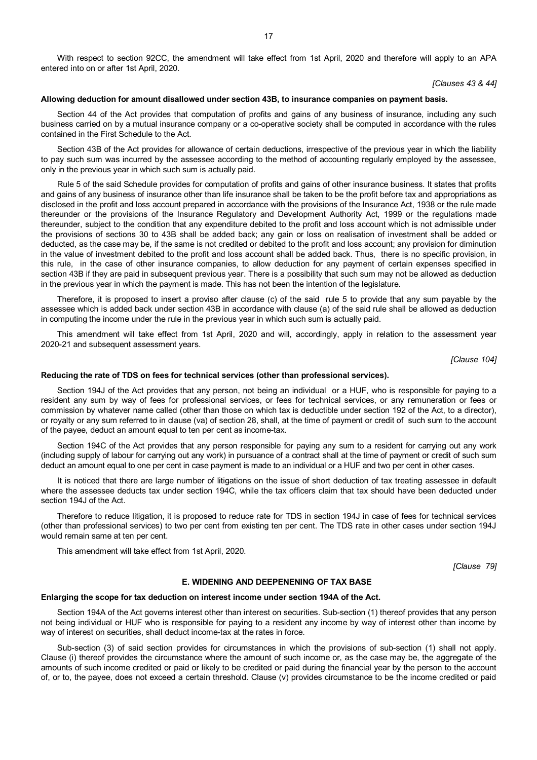With respect to section 92CC, the amendment will take effect from 1st April, 2020 and therefore will apply to an APA entered into on or after 1st April, 2020.

*[Clauses 43 & 44]*

#### **Allowing deduction for amount disallowed under section 43B, to insurance companies on payment basis.**

Section 44 of the Act provides that computation of profits and gains of any business of insurance, including any such business carried on by a mutual insurance company or a co-operative society shall be computed in accordance with the rules contained in the First Schedule to the Act.

Section 43B of the Act provides for allowance of certain deductions, irrespective of the previous year in which the liability to pay such sum was incurred by the assessee according to the method of accounting regularly employed by the assessee, only in the previous year in which such sum is actually paid.

Rule 5 of the said Schedule provides for computation of profits and gains of other insurance business. It states that profits and gains of any business of insurance other than life insurance shall be taken to be the profit before tax and appropriations as disclosed in the profit and loss account prepared in accordance with the provisions of the Insurance Act, 1938 or the rule made thereunder or the provisions of the Insurance Regulatory and Development Authority Act, 1999 or the regulations made thereunder, subject to the condition that any expenditure debited to the profit and loss account which is not admissible under the provisions of sections 30 to 43B shall be added back; any gain or loss on realisation of investment shall be added or deducted, as the case may be, if the same is not credited or debited to the profit and loss account; any provision for diminution in the value of investment debited to the profit and loss account shall be added back. Thus, there is no specific provision, in this rule, in the case of other insurance companies, to allow deduction for any payment of certain expenses specified in section 43B if they are paid in subsequent previous year. There is a possibility that such sum may not be allowed as deduction in the previous year in which the payment is made. This has not been the intention of the legislature.

Therefore, it is proposed to insert a proviso after clause (c) of the said rule 5 to provide that any sum payable by the assessee which is added back under section 43B in accordance with clause (a) of the said rule shall be allowed as deduction in computing the income under the rule in the previous year in which such sum is actually paid.

This amendment will take effect from 1st April, 2020 and will, accordingly, apply in relation to the assessment year 2020-21 and subsequent assessment years.

*[Clause 104]*

#### **Reducing the rate of TDS on fees for technical services (other than professional services).**

Section 194J of the Act provides that any person, not being an individual or a HUF, who is responsible for paying to a resident any sum by way of fees for professional services, or fees for technical services, or any remuneration or fees or commission by whatever name called (other than those on which tax is deductible under section 192 of the Act, to a director), or royalty or any sum referred to in clause (va) of section 28, shall, at the time of payment or credit of such sum to the account of the payee, deduct an amount equal to ten per cent as income-tax.

Section 194C of the Act provides that any person responsible for paying any sum to a resident for carrying out any work (including supply of labour for carrying out any work) in pursuance of a contract shall at the time of payment or credit of such sum deduct an amount equal to one per cent in case payment is made to an individual or a HUF and two per cent in other cases.

It is noticed that there are large number of litigations on the issue of short deduction of tax treating assessee in default where the assessee deducts tax under section 194C, while the tax officers claim that tax should have been deducted under section 194J of the Act.

Therefore to reduce litigation, it is proposed to reduce rate for TDS in section 194J in case of fees for technical services (other than professional services) to two per cent from existing ten per cent. The TDS rate in other cases under section 194J would remain same at ten per cent.

This amendment will take effect from 1st April, 2020.

*[Clause 79]*

#### **E. WIDENING AND DEEPENENING OF TAX BASE**

#### **Enlarging the scope for tax deduction on interest income under section 194A of the Act.**

Section 194A of the Act governs interest other than interest on securities. Sub-section (1) thereof provides that any person not being individual or HUF who is responsible for paying to a resident any income by way of interest other than income by way of interest on securities, shall deduct income-tax at the rates in force.

Sub-section (3) of said section provides for circumstances in which the provisions of sub-section (1) shall not apply. Clause (i) thereof provides the circumstance where the amount of such income or, as the case may be, the aggregate of the amounts of such income credited or paid or likely to be credited or paid during the financial year by the person to the account of, or to, the payee, does not exceed a certain threshold. Clause (v) provides circumstance to be the income credited or paid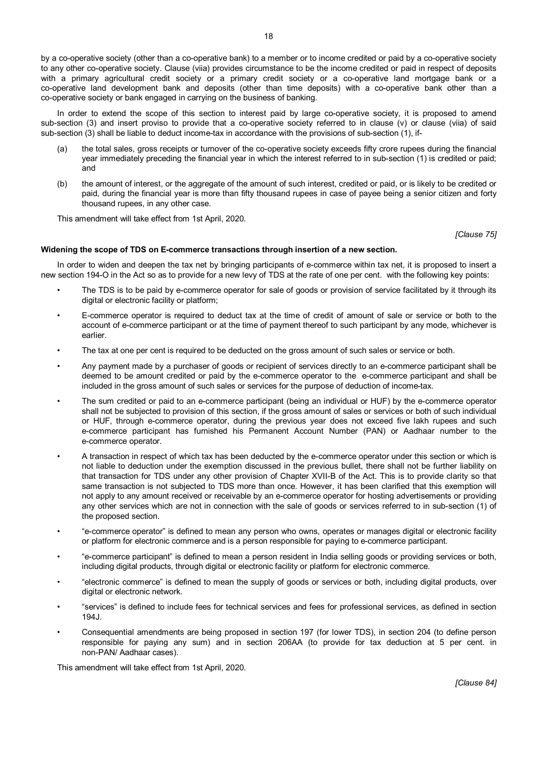by a co-operative society (other than a co-operative bank) to a member or to income credited or paid by a co-operative society to any other co-operative society. Clause (viia) provides circumstance to be the income credited or paid in respect of deposits with a primary agricultural credit society or a primary credit society or a co-operative land mortgage bank or a co-operative land development bank and deposits (other than time deposits) with a co-operative bank other than a co-operative society or bank engaged in carrying on the business of banking.

In order to extend the scope of this section to interest paid by large co-operative society, it is proposed to amend sub-section (3) and insert proviso to provide that a co-operative society referred to in clause (v) or clause (viia) of said sub-section (3) shall be liable to deduct income-tax in accordance with the provisions of sub-section (1), if-

- (a) the total sales, gross receipts or turnover of the co-operative society exceeds fifty crore rupees during the financial year immediately preceding the financial year in which the interest referred to in sub-section (1) is credited or paid; and
- (b) the amount of interest, or the aggregate of the amount of such interest, credited or paid, or is likely to be credited or paid, during the financial year is more than fifty thousand rupees in case of payee being a senior citizen and forty thousand rupees, in any other case.

This amendment will take effect from 1st April, 2020.

*[Clause 75]*

# **Widening the scope of TDS on E-commerce transactions through insertion of a new section.**

In order to widen and deepen the tax net by bringing participants of e-commerce within tax net, it is proposed to insert a new section 194-O in the Act so as to provide for a new levy of TDS at the rate of one per cent. with the following key points:

- The TDS is to be paid by e-commerce operator for sale of goods or provision of service facilitated by it through its digital or electronic facility or platform;
- E-commerce operator is required to deduct tax at the time of credit of amount of sale or service or both to the account of e-commerce participant or at the time of payment thereof to such participant by any mode, whichever is earlier.
- The tax at one per cent is required to be deducted on the gross amount of such sales or service or both.
- Any payment made by a purchaser of goods or recipient of services directly to an e-commerce participant shall be deemed to be amount credited or paid by the e-commerce operator to the e-commerce participant and shall be included in the gross amount of such sales or services for the purpose of deduction of income-tax.
- The sum credited or paid to an e-commerce participant (being an individual or HUF) by the e-commerce operator shall not be subjected to provision of this section, if the gross amount of sales or services or both of such individual or HUF, through e-commerce operator, during the previous year does not exceed five lakh rupees and such e-commerce participant has furnished his Permanent Account Number (PAN) or Aadhaar number to the e-commerce operator.
- A transaction in respect of which tax has been deducted by the e-commerce operator under this section or which is not liable to deduction under the exemption discussed in the previous bullet, there shall not be further liability on that transaction for TDS under any other provision of Chapter XVII-B of the Act. This is to provide clarity so that same transaction is not subjected to TDS more than once. However, it has been clarified that this exemption will not apply to any amount received or receivable by an e-commerce operator for hosting advertisements or providing any other services which are not in connection with the sale of goods or services referred to in sub-section (1) of the proposed section.
- "e-commerce operator" is defined to mean any person who owns, operates or manages digital or electronic facility or platform for electronic commerce and is a person responsible for paying to e-commerce participant.
- "e-commerce participant" is defined to mean a person resident in India selling goods or providing services or both, including digital products, through digital or electronic facility or platform for electronic commerce.
- "electronic commerce" is defined to mean the supply of goods or services or both, including digital products, over digital or electronic network.
- "services" is defined to include fees for technical services and fees for professional services, as defined in section 194J.
- Consequential amendments are being proposed in section 197 (for lower TDS), in section 204 (to define person responsible for paying any sum) and in section 206AA (to provide for tax deduction at 5 per cent. in non-PAN/ Aadhaar cases).

This amendment will take effect from 1st April, 2020.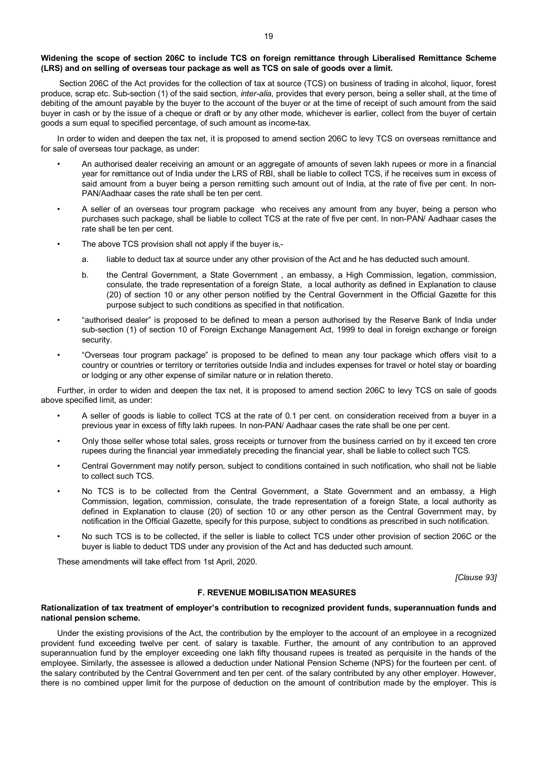# **Widening the scope of section 206C to include TCS on foreign remittance through Liberalised Remittance Scheme (LRS) and on selling of overseas tour package as well as TCS on sale of goods over a limit.**

Section 206C of the Act provides for the collection of tax at source (TCS) on business of trading in alcohol, liquor, forest produce, scrap etc. Sub-section (1) of the said section, *inter-alia*, provides that every person, being a seller shall, at the time of debiting of the amount payable by the buyer to the account of the buyer or at the time of receipt of such amount from the said buyer in cash or by the issue of a cheque or draft or by any other mode, whichever is earlier, collect from the buyer of certain goods a sum equal to specified percentage, of such amount as income-tax.

In order to widen and deepen the tax net, it is proposed to amend section 206C to levy TCS on overseas remittance and for sale of overseas tour package, as under:

- An authorised dealer receiving an amount or an aggregate of amounts of seven lakh rupees or more in a financial year for remittance out of India under the LRS of RBI, shall be liable to collect TCS, if he receives sum in excess of said amount from a buyer being a person remitting such amount out of India, at the rate of five per cent. In non-PAN/Aadhaar cases the rate shall be ten per cent.
- A seller of an overseas tour program package who receives any amount from any buyer, being a person who purchases such package, shall be liable to collect TCS at the rate of five per cent. In non-PAN/ Aadhaar cases the rate shall be ten per cent.
- The above TCS provision shall not apply if the buyer is,
	- a. liable to deduct tax at source under any other provision of the Act and he has deducted such amount.
	- b. the Central Government, a State Government , an embassy, a High Commission, legation, commission, consulate, the trade representation of a foreign State, a local authority as defined in Explanation to clause (20) of section 10 or any other person notified by the Central Government in the Official Gazette for this purpose subject to such conditions as specified in that notification.
- "authorised dealer" is proposed to be defined to mean a person authorised by the Reserve Bank of India under sub-section (1) of section 10 of Foreign Exchange Management Act, 1999 to deal in foreign exchange or foreign security.
- "Overseas tour program package" is proposed to be defined to mean any tour package which offers visit to a country or countries or territory or territories outside India and includes expenses for travel or hotel stay or boarding or lodging or any other expense of similar nature or in relation thereto.

Further, in order to widen and deepen the tax net, it is proposed to amend section 206C to levy TCS on sale of goods above specified limit, as under:

- A seller of goods is liable to collect TCS at the rate of 0.1 per cent. on consideration received from a buyer in a previous year in excess of fifty lakh rupees. In non-PAN/ Aadhaar cases the rate shall be one per cent.
- Only those seller whose total sales, gross receipts or turnover from the business carried on by it exceed ten crore rupees during the financial year immediately preceding the financial year, shall be liable to collect such TCS.
- Central Government may notify person, subject to conditions contained in such notification, who shall not be liable to collect such TCS.
- No TCS is to be collected from the Central Government, a State Government and an embassy, a High Commission, legation, commission, consulate, the trade representation of a foreign State, a local authority as defined in Explanation to clause (20) of section 10 or any other person as the Central Government may, by notification in the Official Gazette, specify for this purpose, subject to conditions as prescribed in such notification.
- No such TCS is to be collected, if the seller is liable to collect TCS under other provision of section 206C or the buyer is liable to deduct TDS under any provision of the Act and has deducted such amount.

These amendments will take effect from 1st April, 2020.

*[Clause 93]*

# **F. REVENUE MOBILISATION MEASURES**

## **Rationalization of tax treatment of employer's contribution to recognized provident funds, superannuation funds and national pension scheme.**

Under the existing provisions of the Act, the contribution by the employer to the account of an employee in a recognized provident fund exceeding twelve per cent. of salary is taxable. Further, the amount of any contribution to an approved superannuation fund by the employer exceeding one lakh fifty thousand rupees is treated as perquisite in the hands of the employee. Similarly, the assessee is allowed a deduction under National Pension Scheme (NPS) for the fourteen per cent. of the salary contributed by the Central Government and ten per cent. of the salary contributed by any other employer. However, there is no combined upper limit for the purpose of deduction on the amount of contribution made by the employer. This is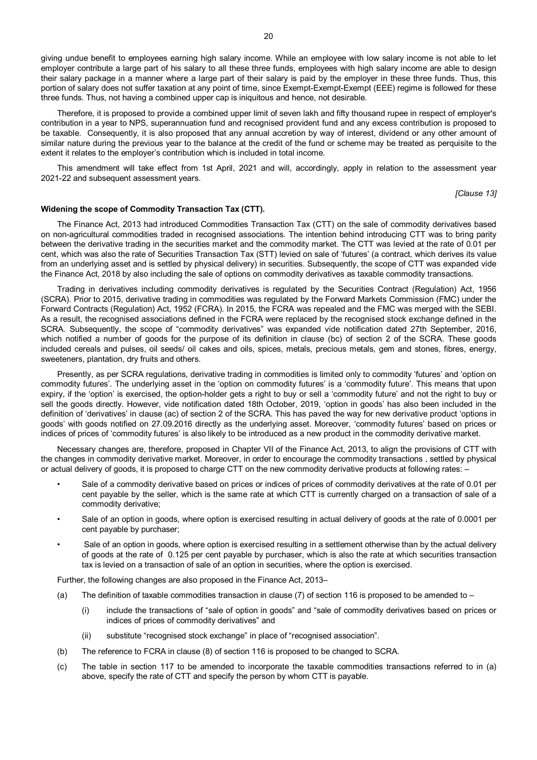Therefore, it is proposed to provide a combined upper limit of seven lakh and fifty thousand rupee in respect of employer's contribution in a year to NPS, superannuation fund and recognised provident fund and any excess contribution is proposed to be taxable. Consequently, it is also proposed that any annual accretion by way of interest, dividend or any other amount of similar nature during the previous year to the balance at the credit of the fund or scheme may be treated as perquisite to the extent it relates to the employer's contribution which is included in total income.

This amendment will take effect from 1st April, 2021 and will, accordingly, apply in relation to the assessment year 2021-22 and subsequent assessment years.

*[Clause 13]*

#### **Widening the scope of Commodity Transaction Tax (CTT).**

The Finance Act, 2013 had introduced Commodities Transaction Tax (CTT) on the sale of commodity derivatives based on non-agricultural commodities traded in recognised associations. The intention behind introducing CTT was to bring parity between the derivative trading in the securities market and the commodity market. The CTT was levied at the rate of 0.01 per cent, which was also the rate of Securities Transaction Tax (STT) levied on sale of 'futures' (a contract, which derives its value from an underlying asset and is settled by physical delivery) in securities. Subsequently, the scope of CTT was expanded vide the Finance Act, 2018 by also including the sale of options on commodity derivatives as taxable commodity transactions.

Trading in derivatives including commodity derivatives is regulated by the Securities Contract (Regulation) Act, 1956 (SCRA). Prior to 2015, derivative trading in commodities was regulated by the Forward Markets Commission (FMC) under the Forward Contracts (Regulation) Act, 1952 (FCRA). In 2015, the FCRA was repealed and the FMC was merged with the SEBI. As a result, the recognised associations defined in the FCRA were replaced by the recognised stock exchange defined in the SCRA. Subsequently, the scope of "commodity derivatives" was expanded vide notification dated 27th September, 2016, which notified a number of goods for the purpose of its definition in clause (bc) of section 2 of the SCRA. These goods included cereals and pulses, oil seeds/ oil cakes and oils, spices, metals, precious metals, gem and stones, fibres, energy, sweeteners, plantation, dry fruits and others.

Presently, as per SCRA regulations, derivative trading in commodities is limited only to commodity 'futures' and 'option on commodity futures'. The underlying asset in the 'option on commodity futures' is a 'commodity future'. This means that upon expiry, if the 'option' is exercised, the option-holder gets a right to buy or sell a 'commodity future' and not the right to buy or sell the goods directly. However, vide notification dated 18th October, 2019, 'option in goods' has also been included in the definition of 'derivatives' in clause (ac) of section 2 of the SCRA. This has paved the way for new derivative product 'options in goods' with goods notified on 27.09.2016 directly as the underlying asset. Moreover, 'commodity futures' based on prices or indices of prices of 'commodity futures' is also likely to be introduced as a new product in the commodity derivative market.

Necessary changes are, therefore, proposed in Chapter VII of the Finance Act, 2013, to align the provisions of CTT with the changes in commodity derivative market. Moreover, in order to encourage the commodity transactions , settled by physical or actual delivery of goods, it is proposed to charge CTT on the new commodity derivative products at following rates: –

- Sale of a commodity derivative based on prices or indices of prices of commodity derivatives at the rate of 0.01 per cent payable by the seller, which is the same rate at which CTT is currently charged on a transaction of sale of a commodity derivative;
- Sale of an option in goods, where option is exercised resulting in actual delivery of goods at the rate of 0.0001 per cent payable by purchaser;
- Sale of an option in goods, where option is exercised resulting in a settlement otherwise than by the actual delivery of goods at the rate of 0.125 per cent payable by purchaser, which is also the rate at which securities transaction tax is levied on a transaction of sale of an option in securities, where the option is exercised.

Further, the following changes are also proposed in the Finance Act, 2013–

- (a) The definition of taxable commodities transaction in clause  $(7)$  of section 116 is proposed to be amended to
	- (i) include the transactions of "sale of option in goods" and "sale of commodity derivatives based on prices or indices of prices of commodity derivatives" and
	- (ii) substitute "recognised stock exchange" in place of "recognised association".
- (b) The reference to FCRA in clause (8) of section 116 is proposed to be changed to SCRA.
- (c) The table in section 117 to be amended to incorporate the taxable commodities transactions referred to in (a) above, specify the rate of CTT and specify the person by whom CTT is payable.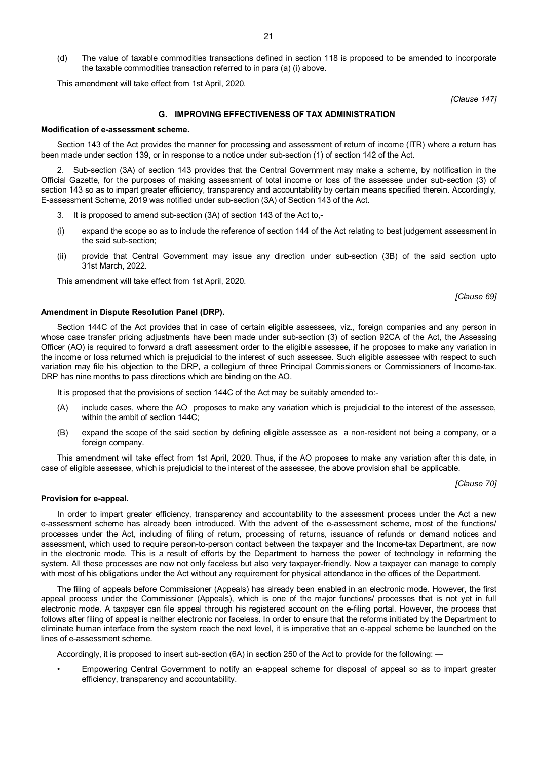(d) The value of taxable commodities transactions defined in section 118 is proposed to be amended to incorporate the taxable commodities transaction referred to in para (a) (i) above.

This amendment will take effect from 1st April, 2020.

*[Clause 147]*

## **G. IMPROVING EFFECTIVENESS OF TAX ADMINISTRATION**

#### **Modification of e-assessment scheme.**

Section 143 of the Act provides the manner for processing and assessment of return of income (ITR) where a return has been made under section 139, or in response to a notice under sub-section (1) of section 142 of the Act.

2. Sub-section (3A) of section 143 provides that the Central Government may make a scheme, by notification in the Official Gazette, for the purposes of making assessment of total income or loss of the assessee under sub-section (3) of section 143 so as to impart greater efficiency, transparency and accountability by certain means specified therein. Accordingly, E-assessment Scheme, 2019 was notified under sub-section (3A) of Section 143 of the Act.

- 3. It is proposed to amend sub-section (3A) of section 143 of the Act to,-
- (i) expand the scope so as to include the reference of section 144 of the Act relating to best judgement assessment in the said sub-section;
- (ii) provide that Central Government may issue any direction under sub-section (3B) of the said section upto 31st March, 2022.

This amendment will take effect from 1st April, 2020.

**Amendment in Dispute Resolution Panel (DRP).**

Section 144C of the Act provides that in case of certain eligible assessees, viz., foreign companies and any person in whose case transfer pricing adjustments have been made under sub-section (3) of section 92CA of the Act, the Assessing Officer (AO) is required to forward a draft assessment order to the eligible assessee, if he proposes to make any variation in the income or loss returned which is prejudicial to the interest of such assessee. Such eligible assessee with respect to such variation may file his objection to the DRP, a collegium of three Principal Commissioners or Commissioners of Income-tax. DRP has nine months to pass directions which are binding on the AO.

It is proposed that the provisions of section 144C of the Act may be suitably amended to:-

- (A) include cases, where the AO proposes to make any variation which is prejudicial to the interest of the assessee, within the ambit of section 144C;
- (B) expand the scope of the said section by defining eligible assessee as a non-resident not being a company, or a foreign company.

This amendment will take effect from 1st April, 2020. Thus, if the AO proposes to make any variation after this date, in case of eligible assessee, which is prejudicial to the interest of the assessee, the above provision shall be applicable.

*[Clause 70]*

#### **Provision for e-appeal.**

In order to impart greater efficiency, transparency and accountability to the assessment process under the Act a new e-assessment scheme has already been introduced. With the advent of the e-assessment scheme, most of the functions/ processes under the Act, including of filing of return, processing of returns, issuance of refunds or demand notices and assessment, which used to require person-to-person contact between the taxpayer and the Income-tax Department, are now in the electronic mode. This is a result of efforts by the Department to harness the power of technology in reforming the system. All these processes are now not only faceless but also very taxpayer-friendly. Now a taxpayer can manage to comply with most of his obligations under the Act without any requirement for physical attendance in the offices of the Department.

The filing of appeals before Commissioner (Appeals) has already been enabled in an electronic mode. However, the first appeal process under the Commissioner (Appeals), which is one of the major functions/ processes that is not yet in full electronic mode. A taxpayer can file appeal through his registered account on the e-filing portal. However, the process that follows after filing of appeal is neither electronic nor faceless. In order to ensure that the reforms initiated by the Department to eliminate human interface from the system reach the next level, it is imperative that an e-appeal scheme be launched on the lines of e-assessment scheme.

Accordingly, it is proposed to insert sub-section (6A) in section 250 of the Act to provide for the following: —

• Empowering Central Government to notify an e-appeal scheme for disposal of appeal so as to impart greater efficiency, transparency and accountability.

*[Clause 69]*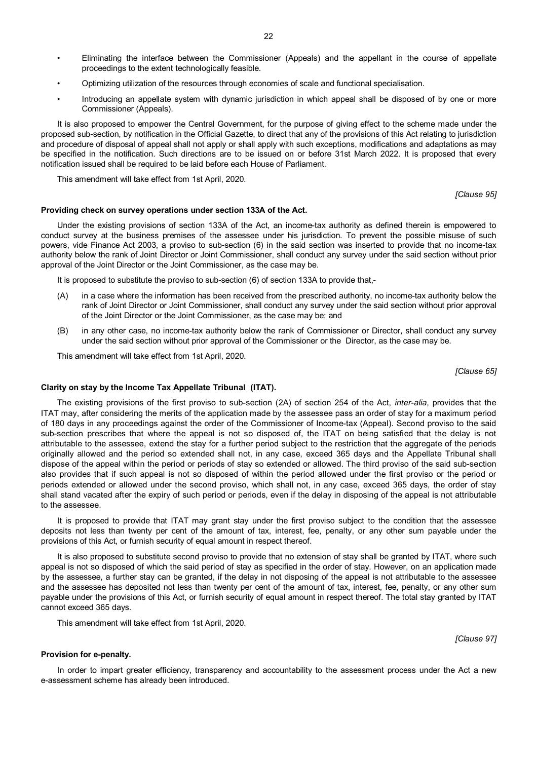- Eliminating the interface between the Commissioner (Appeals) and the appellant in the course of appellate proceedings to the extent technologically feasible.
- Optimizing utilization of the resources through economies of scale and functional specialisation.
- Introducing an appellate system with dynamic jurisdiction in which appeal shall be disposed of by one or more Commissioner (Appeals).

It is also proposed to empower the Central Government, for the purpose of giving effect to the scheme made under the proposed sub-section, by notification in the Official Gazette, to direct that any of the provisions of this Act relating to jurisdiction and procedure of disposal of appeal shall not apply or shall apply with such exceptions, modifications and adaptations as may be specified in the notification. Such directions are to be issued on or before 31st March 2022. It is proposed that every notification issued shall be required to be laid before each House of Parliament.

This amendment will take effect from 1st April, 2020.

*[Clause 95]*

# **Providing check on survey operations under section 133A of the Act.**

Under the existing provisions of section 133A of the Act, an income-tax authority as defined therein is empowered to conduct survey at the business premises of the assessee under his jurisdiction. To prevent the possible misuse of such powers, vide Finance Act 2003, a proviso to sub-section (6) in the said section was inserted to provide that no income-tax authority below the rank of Joint Director or Joint Commissioner, shall conduct any survey under the said section without prior approval of the Joint Director or the Joint Commissioner, as the case may be.

It is proposed to substitute the proviso to sub-section (6) of section 133A to provide that,-

- (A) in a case where the information has been received from the prescribed authority, no income-tax authority below the rank of Joint Director or Joint Commissioner, shall conduct any survey under the said section without prior approval of the Joint Director or the Joint Commissioner, as the case may be; and
- (B) in any other case, no income-tax authority below the rank of Commissioner or Director, shall conduct any survey under the said section without prior approval of the Commissioner or the Director, as the case may be.

This amendment will take effect from 1st April, 2020.

*[Clause 65]*

*[Clause 97]*

# **Clarity on stay by the Income Tax Appellate Tribunal (ITAT).**

The existing provisions of the first proviso to sub-section (2A) of section 254 of the Act, *inter-alia*, provides that the ITAT may, after considering the merits of the application made by the assessee pass an order of stay for a maximum period of 180 days in any proceedings against the order of the Commissioner of Income-tax (Appeal). Second proviso to the said sub-section prescribes that where the appeal is not so disposed of, the ITAT on being satisfied that the delay is not attributable to the assessee, extend the stay for a further period subject to the restriction that the aggregate of the periods originally allowed and the period so extended shall not, in any case, exceed 365 days and the Appellate Tribunal shall dispose of the appeal within the period or periods of stay so extended or allowed. The third proviso of the said sub-section also provides that if such appeal is not so disposed of within the period allowed under the first proviso or the period or periods extended or allowed under the second proviso, which shall not, in any case, exceed 365 days, the order of stay shall stand vacated after the expiry of such period or periods, even if the delay in disposing of the appeal is not attributable to the assessee.

It is proposed to provide that ITAT may grant stay under the first proviso subject to the condition that the assessee deposits not less than twenty per cent of the amount of tax, interest, fee, penalty, or any other sum payable under the provisions of this Act, or furnish security of equal amount in respect thereof.

It is also proposed to substitute second proviso to provide that no extension of stay shall be granted by ITAT, where such appeal is not so disposed of which the said period of stay as specified in the order of stay. However, on an application made by the assessee, a further stay can be granted, if the delay in not disposing of the appeal is not attributable to the assessee and the assessee has deposited not less than twenty per cent of the amount of tax, interest, fee, penalty, or any other sum payable under the provisions of this Act, or furnish security of equal amount in respect thereof. The total stay granted by ITAT cannot exceed 365 days.

This amendment will take effect from 1st April, 2020.

**Provision for e-penalty.**

In order to impart greater efficiency, transparency and accountability to the assessment process under the Act a new e-assessment scheme has already been introduced.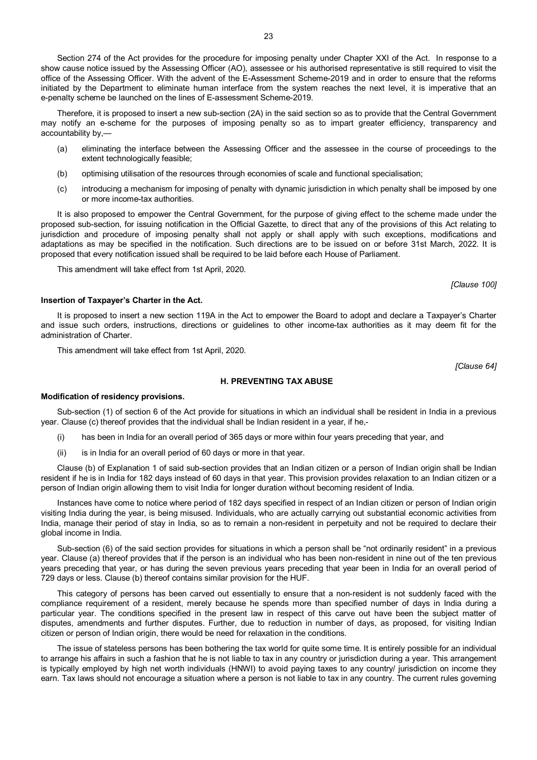Section 274 of the Act provides for the procedure for imposing penalty under Chapter XXI of the Act. In response to a show cause notice issued by the Assessing Officer (AO), assessee or his authorised representative is still required to visit the office of the Assessing Officer. With the advent of the E-Assessment Scheme-2019 and in order to ensure that the reforms initiated by the Department to eliminate human interface from the system reaches the next level, it is imperative that an e-penalty scheme be launched on the lines of E-assessment Scheme-2019.

Therefore, it is proposed to insert a new sub-section (2A) in the said section so as to provide that the Central Government may notify an e-scheme for the purposes of imposing penalty so as to impart greater efficiency, transparency and accountability by,—

- (a) eliminating the interface between the Assessing Officer and the assessee in the course of proceedings to the extent technologically feasible;
- (b) optimising utilisation of the resources through economies of scale and functional specialisation;
- (c) introducing a mechanism for imposing of penalty with dynamic jurisdiction in which penalty shall be imposed by one or more income-tax authorities.

It is also proposed to empower the Central Government, for the purpose of giving effect to the scheme made under the proposed sub-section, for issuing notification in the Official Gazette, to direct that any of the provisions of this Act relating to jurisdiction and procedure of imposing penalty shall not apply or shall apply with such exceptions, modifications and adaptations as may be specified in the notification. Such directions are to be issued on or before 31st March, 2022. It is proposed that every notification issued shall be required to be laid before each House of Parliament.

This amendment will take effect from 1st April, 2020.

#### **Insertion of Taxpayer's Charter in the Act.**

It is proposed to insert a new section 119A in the Act to empower the Board to adopt and declare a Taxpayer's Charter and issue such orders, instructions, directions or guidelines to other income-tax authorities as it may deem fit for the administration of Charter.

This amendment will take effect from 1st April, 2020.

*[Clause 64]*

# **H. PREVENTING TAX ABUSE**

#### **Modification of residency provisions.**

Sub-section (1) of section 6 of the Act provide for situations in which an individual shall be resident in India in a previous year. Clause (c) thereof provides that the individual shall be Indian resident in a year, if he,-

- (i) has been in India for an overall period of 365 days or more within four years preceding that year, and
- (ii) is in India for an overall period of 60 days or more in that year.

Clause (b) of Explanation 1 of said sub-section provides that an Indian citizen or a person of Indian origin shall be Indian resident if he is in India for 182 days instead of 60 days in that year. This provision provides relaxation to an Indian citizen or a person of Indian origin allowing them to visit India for longer duration without becoming resident of India.

Instances have come to notice where period of 182 days specified in respect of an Indian citizen or person of Indian origin visiting India during the year, is being misused. Individuals, who are actually carrying out substantial economic activities from India, manage their period of stay in India, so as to remain a non-resident in perpetuity and not be required to declare their global income in India.

Sub-section (6) of the said section provides for situations in which a person shall be "not ordinarily resident" in a previous year. Clause (a) thereof provides that if the person is an individual who has been non-resident in nine out of the ten previous years preceding that year, or has during the seven previous years preceding that year been in India for an overall period of 729 days or less. Clause (b) thereof contains similar provision for the HUF.

This category of persons has been carved out essentially to ensure that a non-resident is not suddenly faced with the compliance requirement of a resident, merely because he spends more than specified number of days in India during a particular year. The conditions specified in the present law in respect of this carve out have been the subject matter of disputes, amendments and further disputes. Further, due to reduction in number of days, as proposed, for visiting Indian citizen or person of Indian origin, there would be need for relaxation in the conditions.

The issue of stateless persons has been bothering the tax world for quite some time. It is entirely possible for an individual to arrange his affairs in such a fashion that he is not liable to tax in any country or jurisdiction during a year. This arrangement is typically employed by high net worth individuals (HNWI) to avoid paying taxes to any country/ jurisdiction on income they earn. Tax laws should not encourage a situation where a person is not liable to tax in any country. The current rules governing

*[Clause 100]*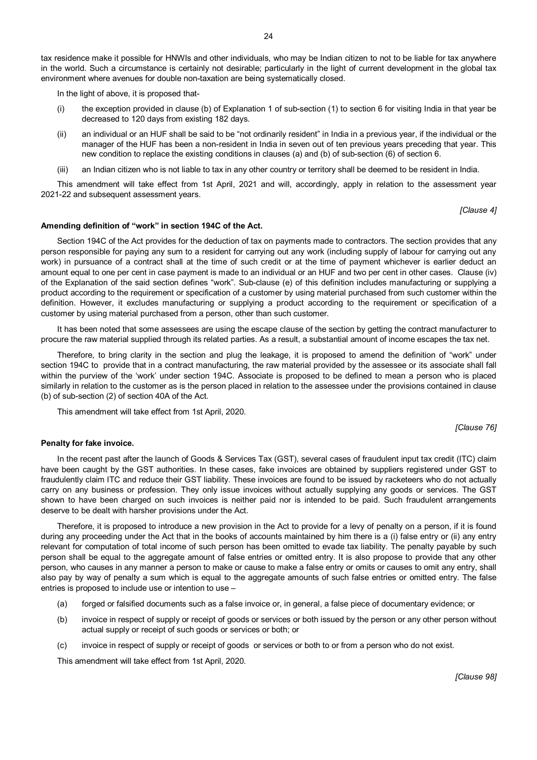In the light of above, it is proposed that-

- (i) the exception provided in clause (b) of Explanation 1 of sub-section (1) to section 6 for visiting India in that year be decreased to 120 days from existing 182 days.
- (ii) an individual or an HUF shall be said to be "not ordinarily resident" in India in a previous year, if the individual or the manager of the HUF has been a non-resident in India in seven out of ten previous years preceding that year. This new condition to replace the existing conditions in clauses (a) and (b) of sub-section (6) of section 6.
- (iii) an Indian citizen who is not liable to tax in any other country or territory shall be deemed to be resident in India.

This amendment will take effect from 1st April, 2021 and will, accordingly, apply in relation to the assessment year 2021-22 and subsequent assessment years.

*[Clause 4]*

#### **Amending definition of "work" in section 194C of the Act.**

Section 194C of the Act provides for the deduction of tax on payments made to contractors. The section provides that any person responsible for paying any sum to a resident for carrying out any work (including supply of labour for carrying out any work) in pursuance of a contract shall at the time of such credit or at the time of payment whichever is earlier deduct an amount equal to one per cent in case payment is made to an individual or an HUF and two per cent in other cases. Clause (iv) of the Explanation of the said section defines "work". Sub-clause (e) of this definition includes manufacturing or supplying a product according to the requirement or specification of a customer by using material purchased from such customer within the definition. However, it excludes manufacturing or supplying a product according to the requirement or specification of a customer by using material purchased from a person, other than such customer.

It has been noted that some assessees are using the escape clause of the section by getting the contract manufacturer to procure the raw material supplied through its related parties. As a result, a substantial amount of income escapes the tax net.

Therefore, to bring clarity in the section and plug the leakage, it is proposed to amend the definition of "work" under section 194C to provide that in a contract manufacturing, the raw material provided by the assessee or its associate shall fall within the purview of the 'work' under section 194C. Associate is proposed to be defined to mean a person who is placed similarly in relation to the customer as is the person placed in relation to the assessee under the provisions contained in clause (b) of sub-section (2) of section 40A of the Act.

This amendment will take effect from 1st April, 2020.

*[Clause 76]*

# **Penalty for fake invoice.**

In the recent past after the launch of Goods & Services Tax (GST), several cases of fraudulent input tax credit (ITC) claim have been caught by the GST authorities. In these cases, fake invoices are obtained by suppliers registered under GST to fraudulently claim ITC and reduce their GST liability. These invoices are found to be issued by racketeers who do not actually carry on any business or profession. They only issue invoices without actually supplying any goods or services. The GST shown to have been charged on such invoices is neither paid nor is intended to be paid. Such fraudulent arrangements deserve to be dealt with harsher provisions under the Act.

Therefore, it is proposed to introduce a new provision in the Act to provide for a levy of penalty on a person, if it is found during any proceeding under the Act that in the books of accounts maintained by him there is a (i) false entry or (ii) any entry relevant for computation of total income of such person has been omitted to evade tax liability. The penalty payable by such person shall be equal to the aggregate amount of false entries or omitted entry. It is also propose to provide that any other person, who causes in any manner a person to make or cause to make a false entry or omits or causes to omit any entry, shall also pay by way of penalty a sum which is equal to the aggregate amounts of such false entries or omitted entry. The false entries is proposed to include use or intention to use –

- (a) forged or falsified documents such as a false invoice or, in general, a false piece of documentary evidence; or
- (b) invoice in respect of supply or receipt of goods or services or both issued by the person or any other person without actual supply or receipt of such goods or services or both; or
- (c) invoice in respect of supply or receipt of goods or services or both to or from a person who do not exist.

This amendment will take effect from 1st April, 2020.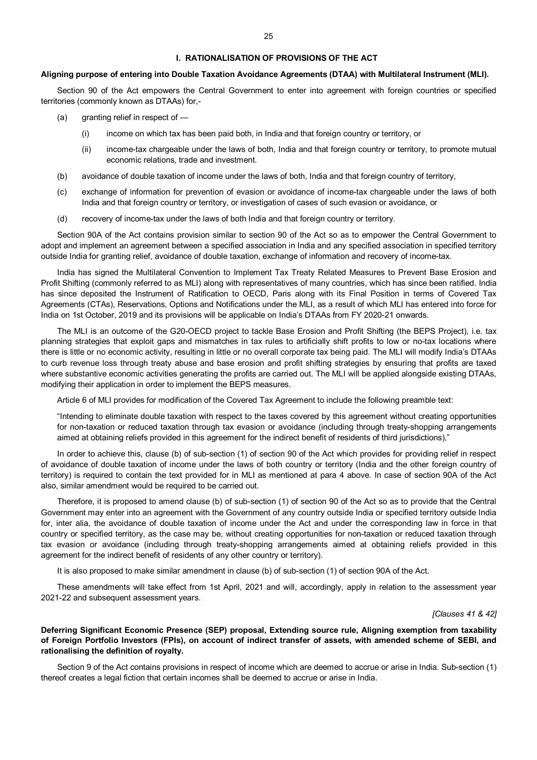# **Aligning purpose of entering into Double Taxation Avoidance Agreements (DTAA) with Multilateral Instrument (MLI).**

Section 90 of the Act empowers the Central Government to enter into agreement with foreign countries or specified territories (commonly known as DTAAs) for,-

- $(a)$  granting relief in respect of  $-$ 
	- (i) income on which tax has been paid both, in India and that foreign country or territory, or
	- (ii) income-tax chargeable under the laws of both, India and that foreign country or territory, to promote mutual economic relations, trade and investment.
- (b) avoidance of double taxation of income under the laws of both, India and that foreign country of territory,
- (c) exchange of information for prevention of evasion or avoidance of income-tax chargeable under the laws of both India and that foreign country or territory, or investigation of cases of such evasion or avoidance, or
- (d) recovery of income-tax under the laws of both India and that foreign country or territory.

Section 90A of the Act contains provision similar to section 90 of the Act so as to empower the Central Government to adopt and implement an agreement between a specified association in India and any specified association in specified territory outside India for granting relief, avoidance of double taxation, exchange of information and recovery of income-tax.

India has signed the Multilateral Convention to Implement Tax Treaty Related Measures to Prevent Base Erosion and Profit Shifting (commonly referred to as MLI) along with representatives of many countries, which has since been ratified. India has since deposited the Instrument of Ratification to OECD, Paris along with its Final Position in terms of Covered Tax Agreements (CTAs), Reservations, Options and Notifications under the MLI, as a result of which MLI has entered into force for India on 1st October, 2019 and its provisions will be applicable on India's DTAAs from FY 2020-21 onwards.

The MLI is an outcome of the G20-OECD project to tackle Base Erosion and Profit Shifting (the BEPS Project), i.e. tax planning strategies that exploit gaps and mismatches in tax rules to artificially shift profits to low or no-tax locations where there is little or no economic activity, resulting in little or no overall corporate tax being paid. The MLI will modify India's DTAAs to curb revenue loss through treaty abuse and base erosion and profit shifting strategies by ensuring that profits are taxed where substantive economic activities generating the profits are carried out. The MLI will be applied alongside existing DTAAs, modifying their application in order to implement the BEPS measures.

Article 6 of MLI provides for modification of the Covered Tax Agreement to include the following preamble text:

"Intending to eliminate double taxation with respect to the taxes covered by this agreement without creating opportunities for non-taxation or reduced taxation through tax evasion or avoidance (including through treaty-shopping arrangements aimed at obtaining reliefs provided in this agreement for the indirect benefit of residents of third jurisdictions),"

In order to achieve this, clause (b) of sub-section (1) of section 90 of the Act which provides for providing relief in respect of avoidance of double taxation of income under the laws of both country or territory (India and the other foreign country of territory) is required to contain the text provided for in MLI as mentioned at para 4 above. In case of section 90A of the Act also, similar amendment would be required to be carried out.

Therefore, it is proposed to amend clause (b) of sub-section (1) of section 90 of the Act so as to provide that the Central Government may enter into an agreement with the Government of any country outside India or specified territory outside India for, inter alia, the avoidance of double taxation of income under the Act and under the corresponding law in force in that country or specified territory, as the case may be, without creating opportunities for non-taxation or reduced taxation through tax evasion or avoidance (including through treaty-shopping arrangements aimed at obtaining reliefs provided in this agreement for the indirect benefit of residents of any other country or territory).

It is also proposed to make similar amendment in clause (b) of sub-section (1) of section 90A of the Act.

These amendments will take effect from 1st April, 2021 and will, accordingly, apply in relation to the assessment year 2021-22 and subsequent assessment years.

#### *[Clauses 41 & 42]*

**Deferring Significant Economic Presence (SEP) proposal, Extending source rule, Aligning exemption from taxability of Foreign Portfolio Investors (FPIs), on account of indirect transfer of assets, with amended scheme of SEBI, and rationalising the definition of royalty.**

Section 9 of the Act contains provisions in respect of income which are deemed to accrue or arise in India. Sub-section (1) thereof creates a legal fiction that certain incomes shall be deemed to accrue or arise in India.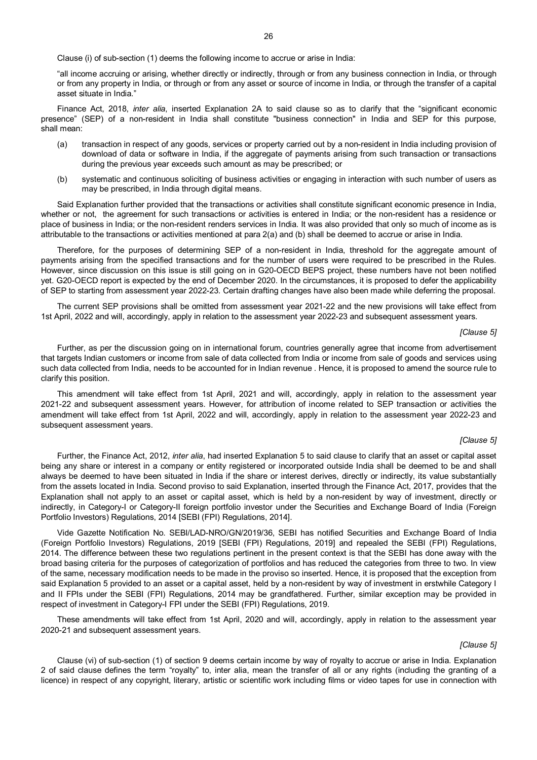Clause (i) of sub-section (1) deems the following income to accrue or arise in India:

"all income accruing or arising, whether directly or indirectly, through or from any business connection in India, or through or from any property in India, or through or from any asset or source of income in India, or through the transfer of a capital asset situate in India."

Finance Act, 2018, *inter alia*, inserted Explanation 2A to said clause so as to clarify that the "significant economic presence" (SEP) of a non-resident in India shall constitute "business connection" in India and SEP for this purpose, shall mean:

- (a) transaction in respect of any goods, services or property carried out by a non-resident in India including provision of download of data or software in India, if the aggregate of payments arising from such transaction or transactions during the previous year exceeds such amount as may be prescribed; or
- (b) systematic and continuous soliciting of business activities or engaging in interaction with such number of users as may be prescribed, in India through digital means.

Said Explanation further provided that the transactions or activities shall constitute significant economic presence in India. whether or not, the agreement for such transactions or activities is entered in India; or the non-resident has a residence or place of business in India; or the non-resident renders services in India. It was also provided that only so much of income as is attributable to the transactions or activities mentioned at para 2(a) and (b) shall be deemed to accrue or arise in India.

Therefore, for the purposes of determining SEP of a non-resident in India, threshold for the aggregate amount of payments arising from the specified transactions and for the number of users were required to be prescribed in the Rules. However, since discussion on this issue is still going on in G20-OECD BEPS project, these numbers have not been notified yet. G20-OECD report is expected by the end of December 2020. In the circumstances, it is proposed to defer the applicability of SEP to starting from assessment year 2022-23. Certain drafting changes have also been made while deferring the proposal.

The current SEP provisions shall be omitted from assessment year 2021-22 and the new provisions will take effect from 1st April, 2022 and will, accordingly, apply in relation to the assessment year 2022-23 and subsequent assessment years.

#### *[Clause 5]*

Further, as per the discussion going on in international forum, countries generally agree that income from advertisement that targets Indian customers or income from sale of data collected from India or income from sale of goods and services using such data collected from India, needs to be accounted for in Indian revenue . Hence, it is proposed to amend the source rule to clarify this position.

This amendment will take effect from 1st April, 2021 and will, accordingly, apply in relation to the assessment year 2021-22 and subsequent assessment years. However, for attribution of income related to SEP transaction or activities the amendment will take effect from 1st April, 2022 and will, accordingly, apply in relation to the assessment year 2022-23 and subsequent assessment years.

#### *[Clause 5]*

Further, the Finance Act, 2012, *inter alia*, had inserted Explanation 5 to said clause to clarify that an asset or capital asset being any share or interest in a company or entity registered or incorporated outside India shall be deemed to be and shall always be deemed to have been situated in India if the share or interest derives, directly or indirectly, its value substantially from the assets located in India. Second proviso to said Explanation, inserted through the Finance Act, 2017, provides that the Explanation shall not apply to an asset or capital asset, which is held by a non-resident by way of investment, directly or indirectly, in Category-I or Category-II foreign portfolio investor under the Securities and Exchange Board of India (Foreign Portfolio Investors) Regulations, 2014 [SEBI (FPI) Regulations, 2014].

Vide Gazette Notification No. SEBI/LAD-NRO/GN/2019/36, SEBI has notified Securities and Exchange Board of India (Foreign Portfolio Investors) Regulations, 2019 [SEBI (FPI) Regulations, 2019] and repealed the SEBI (FPI) Regulations, 2014. The difference between these two regulations pertinent in the present context is that the SEBI has done away with the broad basing criteria for the purposes of categorization of portfolios and has reduced the categories from three to two. In view of the same, necessary modification needs to be made in the proviso so inserted. Hence, it is proposed that the exception from said Explanation 5 provided to an asset or a capital asset, held by a non-resident by way of investment in erstwhile Category I and II FPIs under the SEBI (FPI) Regulations, 2014 may be grandfathered. Further, similar exception may be provided in respect of investment in Category-I FPI under the SEBI (FPI) Regulations, 2019.

These amendments will take effect from 1st April, 2020 and will, accordingly, apply in relation to the assessment year 2020-21 and subsequent assessment years.

#### *[Clause 5]*

Clause (vi) of sub-section (1) of section 9 deems certain income by way of royalty to accrue or arise in India. Explanation 2 of said clause defines the term "royalty" to, inter alia, mean the transfer of all or any rights (including the granting of a licence) in respect of any copyright, literary, artistic or scientific work including films or video tapes for use in connection with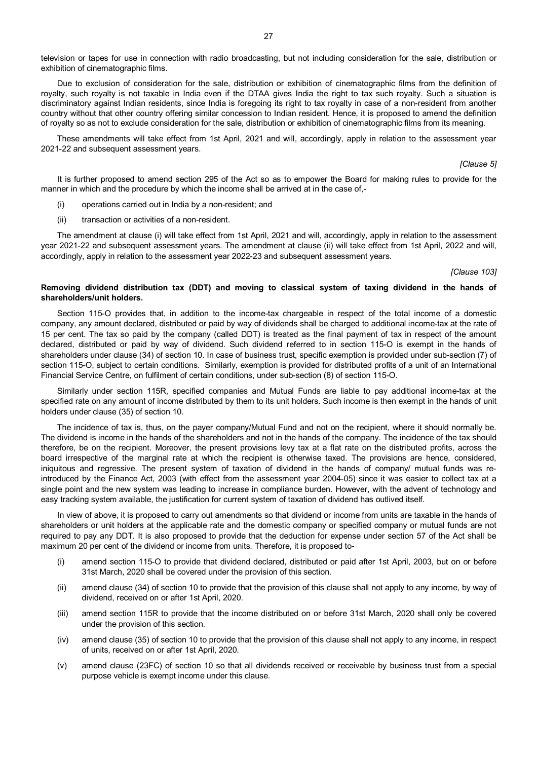television or tapes for use in connection with radio broadcasting, but not including consideration for the sale, distribution or exhibition of cinematographic films.

Due to exclusion of consideration for the sale, distribution or exhibition of cinematographic films from the definition of royalty, such royalty is not taxable in India even if the DTAA gives India the right to tax such royalty. Such a situation is discriminatory against Indian residents, since India is foregoing its right to tax royalty in case of a non-resident from another country without that other country offering similar concession to Indian resident. Hence, it is proposed to amend the definition of royalty so as not to exclude consideration for the sale, distribution or exhibition of cinematographic films from its meaning.

These amendments will take effect from 1st April, 2021 and will, accordingly, apply in relation to the assessment year 2021-22 and subsequent assessment years.

*[Clause 5]*

It is further proposed to amend section 295 of the Act so as to empower the Board for making rules to provide for the manner in which and the procedure by which the income shall be arrived at in the case of,-

- (i) operations carried out in India by a non-resident; and
- (ii) transaction or activities of a non-resident.

The amendment at clause (i) will take effect from 1st April, 2021 and will, accordingly, apply in relation to the assessment year 2021-22 and subsequent assessment years. The amendment at clause (ii) will take effect from 1st April, 2022 and will, accordingly, apply in relation to the assessment year 2022-23 and subsequent assessment years.

*[Clause 103]*

# **Removing dividend distribution tax (DDT) and moving to classical system of taxing dividend in the hands of shareholders/unit holders.**

Section 115-O provides that, in addition to the income-tax chargeable in respect of the total income of a domestic company, any amount declared, distributed or paid by way of dividends shall be charged to additional income-tax at the rate of 15 per cent. The tax so paid by the company (called DDT) is treated as the final payment of tax in respect of the amount declared, distributed or paid by way of dividend. Such dividend referred to in section 115-O is exempt in the hands of shareholders under clause (34) of section 10. In case of business trust, specific exemption is provided under sub-section (7) of section 115-O, subject to certain conditions. Similarly, exemption is provided for distributed profits of a unit of an International Financial Service Centre, on fulfilment of certain conditions, under sub-section (8) of section 115-O.

Similarly under section 115R, specified companies and Mutual Funds are liable to pay additional income-tax at the specified rate on any amount of income distributed by them to its unit holders. Such income is then exempt in the hands of unit holders under clause (35) of section 10.

The incidence of tax is, thus, on the payer company/Mutual Fund and not on the recipient, where it should normally be. The dividend is income in the hands of the shareholders and not in the hands of the company. The incidence of the tax should therefore, be on the recipient. Moreover, the present provisions levy tax at a flat rate on the distributed profits, across the board irrespective of the marginal rate at which the recipient is otherwise taxed. The provisions are hence, considered, iniquitous and regressive. The present system of taxation of dividend in the hands of company/ mutual funds was reintroduced by the Finance Act, 2003 (with effect from the assessment year 2004-05) since it was easier to collect tax at a single point and the new system was leading to increase in compliance burden. However, with the advent of technology and easy tracking system available, the justification for current system of taxation of dividend has outlived itself.

In view of above, it is proposed to carry out amendments so that dividend or income from units are taxable in the hands of shareholders or unit holders at the applicable rate and the domestic company or specified company or mutual funds are not required to pay any DDT. It is also proposed to provide that the deduction for expense under section 57 of the Act shall be maximum 20 per cent of the dividend or income from units. Therefore, it is proposed to-

- (i) amend section 115-O to provide that dividend declared, distributed or paid after 1st April, 2003, but on or before 31st March, 2020 shall be covered under the provision of this section.
- (ii) amend clause (34) of section 10 to provide that the provision of this clause shall not apply to any income, by way of dividend, received on or after 1st April, 2020.
- (iii) amend section 115R to provide that the income distributed on or before 31st March, 2020 shall only be covered under the provision of this section.
- (iv) amend clause (35) of section 10 to provide that the provision of this clause shall not apply to any income, in respect of units, received on or after 1st April, 2020.
- (v) amend clause (23FC) of section 10 so that all dividends received or receivable by business trust from a special purpose vehicle is exempt income under this clause.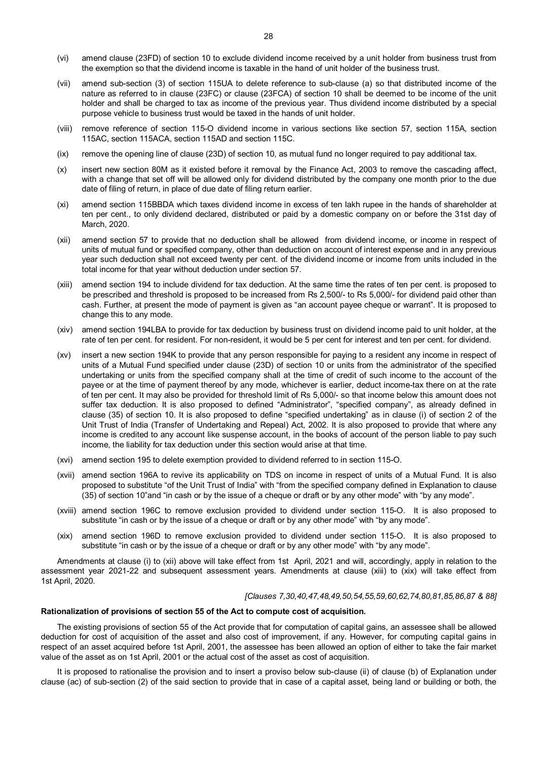- (vi) amend clause (23FD) of section 10 to exclude dividend income received by a unit holder from business trust from the exemption so that the dividend income is taxable in the hand of unit holder of the business trust.
- (vii) amend sub-section (3) of section 115UA to delete reference to sub-clause (a) so that distributed income of the nature as referred to in clause (23FC) or clause (23FCA) of section 10 shall be deemed to be income of the unit holder and shall be charged to tax as income of the previous year. Thus dividend income distributed by a special purpose vehicle to business trust would be taxed in the hands of unit holder.
- (viii) remove reference of section 115-O dividend income in various sections like section 57, section 115A, section 115AC, section 115ACA, section 115AD and section 115C.
- (ix) remove the opening line of clause (23D) of section 10, as mutual fund no longer required to pay additional tax.
- (x) insert new section 80M as it existed before it removal by the Finance Act, 2003 to remove the cascading affect, with a change that set off will be allowed only for dividend distributed by the company one month prior to the due date of filing of return, in place of due date of filing return earlier.
- (xi) amend section 115BBDA which taxes dividend income in excess of ten lakh rupee in the hands of shareholder at ten per cent., to only dividend declared, distributed or paid by a domestic company on or before the 31st day of March, 2020.
- (xii) amend section 57 to provide that no deduction shall be allowed from dividend income, or income in respect of units of mutual fund or specified company, other than deduction on account of interest expense and in any previous year such deduction shall not exceed twenty per cent. of the dividend income or income from units included in the total income for that year without deduction under section 57.
- (xiii) amend section 194 to include dividend for tax deduction. At the same time the rates of ten per cent. is proposed to be prescribed and threshold is proposed to be increased from Rs 2,500/- to Rs 5,000/- for dividend paid other than cash. Further, at present the mode of payment is given as "an account payee cheque or warrant". It is proposed to change this to any mode.
- (xiv) amend section 194LBA to provide for tax deduction by business trust on dividend income paid to unit holder, at the rate of ten per cent. for resident. For non-resident, it would be 5 per cent for interest and ten per cent. for dividend.
- (xv) insert a new section 194K to provide that any person responsible for paying to a resident any income in respect of units of a Mutual Fund specified under clause (23D) of section 10 or units from the administrator of the specified undertaking or units from the specified company shall at the time of credit of such income to the account of the payee or at the time of payment thereof by any mode, whichever is earlier, deduct income-tax there on at the rate of ten per cent. It may also be provided for threshold limit of Rs 5,000/- so that income below this amount does not suffer tax deduction. It is also proposed to defined "Administrator", "specified company", as already defined in clause (35) of section 10. It is also proposed to define "specified undertaking" as in clause (i) of section 2 of the Unit Trust of India (Transfer of Undertaking and Repeal) Act, 2002. It is also proposed to provide that where any income is credited to any account like suspense account, in the books of account of the person liable to pay such income, the liability for tax deduction under this section would arise at that time.
- (xvi) amend section 195 to delete exemption provided to dividend referred to in section 115-O.
- (xvii) amend section 196A to revive its applicability on TDS on income in respect of units of a Mutual Fund. It is also proposed to substitute "of the Unit Trust of India" with "from the specified company defined in Explanation to clause (35) of section 10"and "in cash or by the issue of a cheque or draft or by any other mode" with "by any mode".
- (xviii) amend section 196C to remove exclusion provided to dividend under section 115-O. It is also proposed to substitute "in cash or by the issue of a cheque or draft or by any other mode" with "by any mode".
- (xix) amend section 196D to remove exclusion provided to dividend under section 115-O. It is also proposed to substitute "in cash or by the issue of a cheque or draft or by any other mode" with "by any mode".

Amendments at clause (i) to (xii) above will take effect from 1st April, 2021 and will, accordingly, apply in relation to the assessment year 2021-22 and subsequent assessment years. Amendments at clause (xiii) to (xix) will take effect from 1st April, 2020.

#### *[Clauses 7,30,40,47,48,49,50,54,55,59,60,62,74,80,81,85,86,87 & 88]*

#### **Rationalization of provisions of section 55 of the Act to compute cost of acquisition.**

The existing provisions of section 55 of the Act provide that for computation of capital gains, an assessee shall be allowed deduction for cost of acquisition of the asset and also cost of improvement, if any. However, for computing capital gains in respect of an asset acquired before 1st April, 2001, the assessee has been allowed an option of either to take the fair market value of the asset as on 1st April, 2001 or the actual cost of the asset as cost of acquisition.

It is proposed to rationalise the provision and to insert a proviso below sub-clause (ii) of clause (b) of Explanation under clause (ac) of sub-section (2) of the said section to provide that in case of a capital asset, being land or building or both, the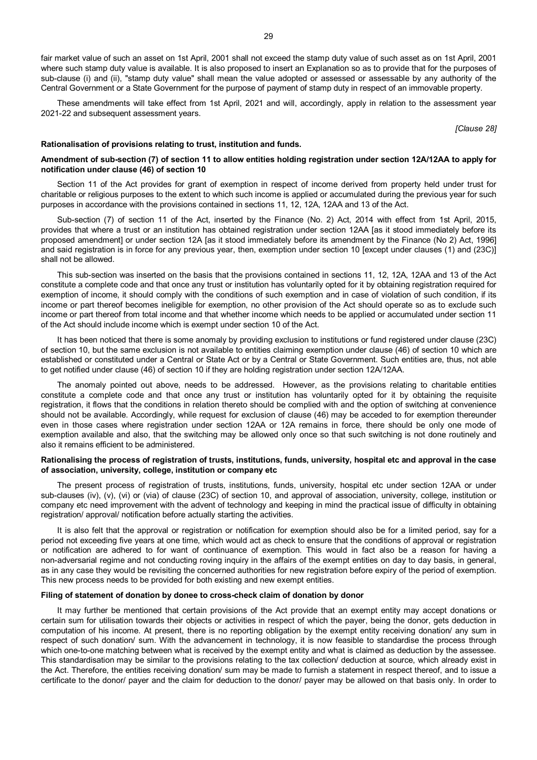fair market value of such an asset on 1st April, 2001 shall not exceed the stamp duty value of such asset as on 1st April, 2001 where such stamp duty value is available. It is also proposed to insert an Explanation so as to provide that for the purposes of sub-clause (i) and (ii), "stamp duty value" shall mean the value adopted or assessed or assessable by any authority of the Central Government or a State Government for the purpose of payment of stamp duty in respect of an immovable property.

These amendments will take effect from 1st April, 2021 and will, accordingly, apply in relation to the assessment year 2021-22 and subsequent assessment years.

*[Clause 28]*

#### **Rationalisation of provisions relating to trust, institution and funds.**

# **Amendment of sub-section (7) of section 11 to allow entities holding registration under section 12A/12AA to apply for notification under clause (46) of section 10**

Section 11 of the Act provides for grant of exemption in respect of income derived from property held under trust for charitable or religious purposes to the extent to which such income is applied or accumulated during the previous year for such purposes in accordance with the provisions contained in sections 11, 12, 12A, 12AA and 13 of the Act.

Sub-section (7) of section 11 of the Act, inserted by the Finance (No. 2) Act, 2014 with effect from 1st April, 2015, provides that where a trust or an institution has obtained registration under section 12AA [as it stood immediately before its proposed amendment] or under section 12A [as it stood immediately before its amendment by the Finance (No 2) Act, 1996] and said registration is in force for any previous year, then, exemption under section 10 [except under clauses (1) and (23C)] shall not be allowed.

This sub-section was inserted on the basis that the provisions contained in sections 11, 12, 12A, 12AA and 13 of the Act constitute a complete code and that once any trust or institution has voluntarily opted for it by obtaining registration required for exemption of income, it should comply with the conditions of such exemption and in case of violation of such condition, if its income or part thereof becomes ineligible for exemption, no other provision of the Act should operate so as to exclude such income or part thereof from total income and that whether income which needs to be applied or accumulated under section 11 of the Act should include income which is exempt under section 10 of the Act.

It has been noticed that there is some anomaly by providing exclusion to institutions or fund registered under clause (23C) of section 10, but the same exclusion is not available to entities claiming exemption under clause (46) of section 10 which are established or constituted under a Central or State Act or by a Central or State Government. Such entities are, thus, not able to get notified under clause (46) of section 10 if they are holding registration under section 12A/12AA.

The anomaly pointed out above, needs to be addressed. However, as the provisions relating to charitable entities constitute a complete code and that once any trust or institution has voluntarily opted for it by obtaining the requisite registration, it flows that the conditions in relation thereto should be complied with and the option of switching at convenience should not be available. Accordingly, while request for exclusion of clause (46) may be acceded to for exemption thereunder even in those cases where registration under section 12AA or 12A remains in force, there should be only one mode of exemption available and also, that the switching may be allowed only once so that such switching is not done routinely and also it remains efficient to be administered.

# **Rationalising the process of registration of trusts, institutions, funds, university, hospital etc and approval in the case of association, university, college, institution or company etc**

The present process of registration of trusts, institutions, funds, university, hospital etc under section 12AA or under sub-clauses (iv), (v), (vi) or (via) of clause (23C) of section 10, and approval of association, university, college, institution or company etc need improvement with the advent of technology and keeping in mind the practical issue of difficulty in obtaining registration/ approval/ notification before actually starting the activities.

It is also felt that the approval or registration or notification for exemption should also be for a limited period, say for a period not exceeding five years at one time, which would act as check to ensure that the conditions of approval or registration or notification are adhered to for want of continuance of exemption. This would in fact also be a reason for having a non-adversarial regime and not conducting roving inquiry in the affairs of the exempt entities on day to day basis, in general, as in any case they would be revisiting the concerned authorities for new registration before expiry of the period of exemption. This new process needs to be provided for both existing and new exempt entities.

#### **Filing of statement of donation by donee to cross-check claim of donation by donor**

It may further be mentioned that certain provisions of the Act provide that an exempt entity may accept donations or certain sum for utilisation towards their objects or activities in respect of which the payer, being the donor, gets deduction in computation of his income. At present, there is no reporting obligation by the exempt entity receiving donation/ any sum in respect of such donation/ sum. With the advancement in technology, it is now feasible to standardise the process through which one-to-one matching between what is received by the exempt entity and what is claimed as deduction by the assessee. This standardisation may be similar to the provisions relating to the tax collection/ deduction at source, which already exist in the Act. Therefore, the entities receiving donation/ sum may be made to furnish a statement in respect thereof, and to issue a certificate to the donor/ payer and the claim for deduction to the donor/ payer may be allowed on that basis only. In order to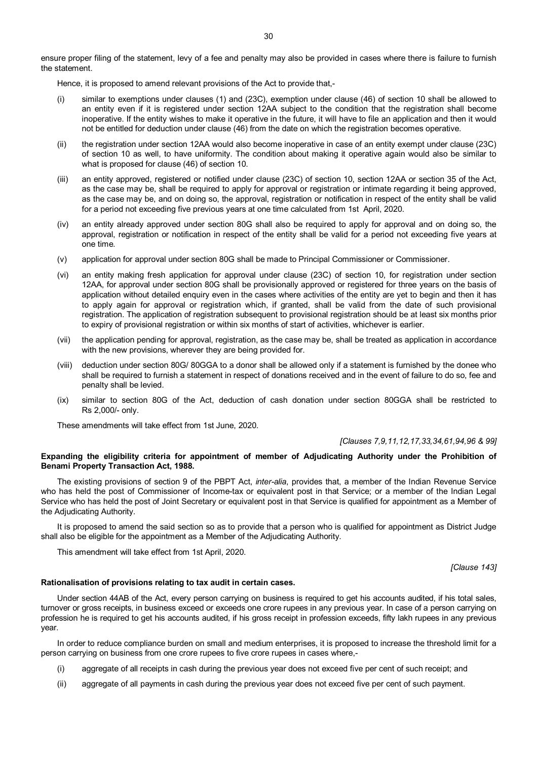ensure proper filing of the statement, levy of a fee and penalty may also be provided in cases where there is failure to furnish the statement.

Hence, it is proposed to amend relevant provisions of the Act to provide that,-

- (i) similar to exemptions under clauses (1) and (23C), exemption under clause (46) of section 10 shall be allowed to an entity even if it is registered under section 12AA subject to the condition that the registration shall become inoperative. If the entity wishes to make it operative in the future, it will have to file an application and then it would not be entitled for deduction under clause (46) from the date on which the registration becomes operative.
- (ii) the registration under section 12AA would also become inoperative in case of an entity exempt under clause (23C) of section 10 as well, to have uniformity. The condition about making it operative again would also be similar to what is proposed for clause (46) of section 10.
- (iii) an entity approved, registered or notified under clause (23C) of section 10, section 12AA or section 35 of the Act, as the case may be, shall be required to apply for approval or registration or intimate regarding it being approved, as the case may be, and on doing so, the approval, registration or notification in respect of the entity shall be valid for a period not exceeding five previous years at one time calculated from 1st April, 2020.
- (iv) an entity already approved under section 80G shall also be required to apply for approval and on doing so, the approval, registration or notification in respect of the entity shall be valid for a period not exceeding five years at one time.
- (v) application for approval under section 80G shall be made to Principal Commissioner or Commissioner.
- (vi) an entity making fresh application for approval under clause (23C) of section 10, for registration under section 12AA, for approval under section 80G shall be provisionally approved or registered for three years on the basis of application without detailed enquiry even in the cases where activities of the entity are yet to begin and then it has to apply again for approval or registration which, if granted, shall be valid from the date of such provisional registration. The application of registration subsequent to provisional registration should be at least six months prior to expiry of provisional registration or within six months of start of activities, whichever is earlier.
- (vii) the application pending for approval, registration, as the case may be, shall be treated as application in accordance with the new provisions, wherever they are being provided for.
- (viii) deduction under section 80G/ 80GGA to a donor shall be allowed only if a statement is furnished by the donee who shall be required to furnish a statement in respect of donations received and in the event of failure to do so, fee and penalty shall be levied.
- (ix) similar to section 80G of the Act, deduction of cash donation under section 80GGA shall be restricted to Rs 2,000/- only.

These amendments will take effect from 1st June, 2020.

*[Clauses 7,9,11,12,17,33,34,61,94,96 & 99]*

# **Expanding the eligibility criteria for appointment of member of Adjudicating Authority under the Prohibition of Benami Property Transaction Act, 1988.**

The existing provisions of section 9 of the PBPT Act, *inter-alia*, provides that, a member of the Indian Revenue Service who has held the post of Commissioner of Income-tax or equivalent post in that Service; or a member of the Indian Legal Service who has held the post of Joint Secretary or equivalent post in that Service is qualified for appointment as a Member of the Adjudicating Authority.

It is proposed to amend the said section so as to provide that a person who is qualified for appointment as District Judge shall also be eligible for the appointment as a Member of the Adjudicating Authority.

This amendment will take effect from 1st April, 2020.

*[Clause 143]*

#### **Rationalisation of provisions relating to tax audit in certain cases.**

Under section 44AB of the Act, every person carrying on business is required to get his accounts audited, if his total sales, turnover or gross receipts, in business exceed or exceeds one crore rupees in any previous year. In case of a person carrying on profession he is required to get his accounts audited, if his gross receipt in profession exceeds, fifty lakh rupees in any previous year.

In order to reduce compliance burden on small and medium enterprises, it is proposed to increase the threshold limit for a person carrying on business from one crore rupees to five crore rupees in cases where,-

- (i) aggregate of all receipts in cash during the previous year does not exceed five per cent of such receipt; and
- (ii) aggregate of all payments in cash during the previous year does not exceed five per cent of such payment.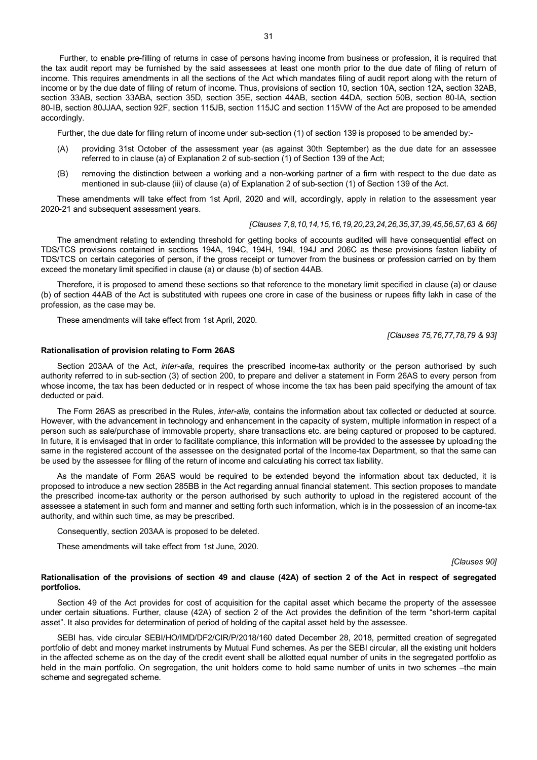Further, to enable pre-filling of returns in case of persons having income from business or profession, it is required that the tax audit report may be furnished by the said assessees at least one month prior to the due date of filing of return of income. This requires amendments in all the sections of the Act which mandates filing of audit report along with the return of income or by the due date of filing of return of income. Thus, provisions of section 10, section 10A, section 12A, section 32AB, section 33AB, section 33ABA, section 35D, section 35E, section 44AB, section 44DA, section 50B, section 80-IA, section 80-IB, section 80JJAA, section 92F, section 115JB, section 115JC and section 115VW of the Act are proposed to be amended accordingly.

Further, the due date for filing return of income under sub-section (1) of section 139 is proposed to be amended by:-

- (A) providing 31st October of the assessment year (as against 30th September) as the due date for an assessee referred to in clause (a) of Explanation 2 of sub-section (1) of Section 139 of the Act;
- (B) removing the distinction between a working and a non-working partner of a firm with respect to the due date as mentioned in sub-clause (iii) of clause (a) of Explanation 2 of sub-section (1) of Section 139 of the Act.

These amendments will take effect from 1st April, 2020 and will, accordingly, apply in relation to the assessment year 2020-21 and subsequent assessment years.

#### *[Clauses 7,8,10,14,15,16,19,20,23,24,26,35,37,39,45,56,57,63 & 66]*

The amendment relating to extending threshold for getting books of accounts audited will have consequential effect on TDS/TCS provisions contained in sections 194A, 194C, 194H, 194I, 194J and 206C as these provisions fasten liability of TDS/TCS on certain categories of person, if the gross receipt or turnover from the business or profession carried on by them exceed the monetary limit specified in clause (a) or clause (b) of section 44AB.

Therefore, it is proposed to amend these sections so that reference to the monetary limit specified in clause (a) or clause (b) of section 44AB of the Act is substituted with rupees one crore in case of the business or rupees fifty lakh in case of the profession, as the case may be.

These amendments will take effect from 1st April, 2020.

*[Clauses 75,76,77,78,79 & 93]*

# **Rationalisation of provision relating to Form 26AS**

Section 203AA of the Act, *inter-alia*, requires the prescribed income-tax authority or the person authorised by such authority referred to in sub-section (3) of section 200, to prepare and deliver a statement in Form 26AS to every person from whose income, the tax has been deducted or in respect of whose income the tax has been paid specifying the amount of tax deducted or paid.

The Form 26AS as prescribed in the Rules, *inter-alia,* contains the information about tax collected or deducted at source. However, with the advancement in technology and enhancement in the capacity of system, multiple information in respect of a person such as sale/purchase of immovable property, share transactions etc. are being captured or proposed to be captured. In future, it is envisaged that in order to facilitate compliance, this information will be provided to the assessee by uploading the same in the registered account of the assessee on the designated portal of the Income-tax Department, so that the same can be used by the assessee for filing of the return of income and calculating his correct tax liability.

As the mandate of Form 26AS would be required to be extended beyond the information about tax deducted, it is proposed to introduce a new section 285BB in the Act regarding annual financial statement. This section proposes to mandate the prescribed income-tax authority or the person authorised by such authority to upload in the registered account of the assessee a statement in such form and manner and setting forth such information, which is in the possession of an income-tax authority, and within such time, as may be prescribed.

Consequently, section 203AA is proposed to be deleted.

These amendments will take effect from 1st June, 2020.

*[Clauses 90]*

## **Rationalisation of the provisions of section 49 and clause (42A) of section 2 of the Act in respect of segregated portfolios.**

Section 49 of the Act provides for cost of acquisition for the capital asset which became the property of the assessee under certain situations. Further, clause (42A) of section 2 of the Act provides the definition of the term "short-term capital asset". It also provides for determination of period of holding of the capital asset held by the assessee.

SEBI has, vide circular SEBI/HO/IMD/DF2/CIR/P/2018/160 dated December 28, 2018, permitted creation of segregated portfolio of debt and money market instruments by Mutual Fund schemes. As per the SEBI circular, all the existing unit holders in the affected scheme as on the day of the credit event shall be allotted equal number of units in the segregated portfolio as held in the main portfolio. On segregation, the unit holders come to hold same number of units in two schemes –the main scheme and segregated scheme.